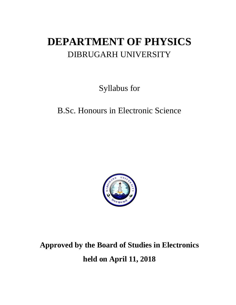# **DEPARTMENT OF PHYSICS** DIBRUGARH UNIVERSITY

Syllabus for

# B.Sc. Honours in Electronic Science



**Approved by the Board of Studies in Electronics** 

**held on April 11, 2018**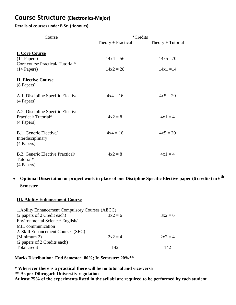# **Course Structure (Electronics-Major)**

## **Details of courses under B.Sc. (Honours)**

| Course                                                                  |                      | <i>*</i> Credits    |
|-------------------------------------------------------------------------|----------------------|---------------------|
|                                                                         | $Theory + Practical$ | $Theory + Tutorial$ |
| <b>I. Core Course</b><br>(14 Papers)<br>Core course Practical/Tutorial* | $14x4 = 56$          | $14x5 = 70$         |
| $(14$ Papers)                                                           | $14x2 = 28$          | $14x1 = 14$         |
| <b>II. Elective Course</b><br>(8 Papers)                                |                      |                     |
| A.1. Discipline Specific Elective<br>(4 Papers)                         | $4x4 = 16$           | $4x5 = 20$          |
| A.2. Discipline Specific Elective<br>Practical/Tutorial*<br>(4 Papers)  | $4x^2 = 8$           | $4x1 = 4$           |
| B.1. Generic Elective<br>Interdisciplinary<br>(4 Papers)                | $4x4 = 16$           | $4x5 = 20$          |
| B.2. Generic Elective Practical/<br>Tutorial*<br>(4 Papers)             | $4x^2 = 8$           | $4x1 = 4$           |

 **Optional Dissertation or project work in place of one Discipline Specific** E**lective paper (6 credits) in 6th Semester**

## **III. Ability Enhancement Course**

| 1. Ability Enhancement Compulsory Courses (AECC) |            |            |
|--------------------------------------------------|------------|------------|
| (2 papers of 2 Credit each)                      | $3x^2 = 6$ | $3x^2 = 6$ |
| Environmental Science/ English/                  |            |            |
| MIL communication                                |            |            |
| 2. Skill Enhancement Courses (SEC)               |            |            |
| (Minimum 2)                                      | $2x2 = 4$  | $2x^2 = 4$ |
| (2 papers of 2 Credits each)                     |            |            |
| Total credit                                     | 142        | 142        |

**Marks Distribution: End Semester: 80%; In Semester: 20%\*\***

**\* Wherever there is a practical there will be no tutorial and vice-versa**

**\*\* As per Dibrugarh University regulation**

**At least 75% of the experiments listed in the syllabi are required to be performed by each student**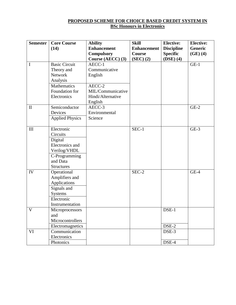## **PROPOSED SCHEME FOR CHOICE BASED CREDIT SYSTEM IN BSc Honours in Electronics**

| <b>Semester</b> | <b>Core Course</b><br>(14) | <b>Ability</b><br><b>Enhancement</b> | <b>Skill</b><br><b>Enhancement</b> | <b>Elective:</b><br><b>Discipline</b> | <b>Elective:</b><br>Generic |
|-----------------|----------------------------|--------------------------------------|------------------------------------|---------------------------------------|-----------------------------|
|                 |                            | <b>Compulsory</b>                    | Course                             | <b>Specific</b>                       | $(GE)$ $(4)$                |
|                 |                            | Course (AECC) (3)                    | $(SEC)$ $(2)$                      | $(DSE)$ (4)                           |                             |
| $\mathbf I$     | <b>Basic Circuit</b>       | AECC-1                               |                                    |                                       | $GE-1$                      |
|                 | Theory and                 | Communicative                        |                                    |                                       |                             |
|                 | Network                    | English                              |                                    |                                       |                             |
|                 | Analysis                   |                                      |                                    |                                       |                             |
|                 | Mathematics                | AECC-2                               |                                    |                                       |                             |
|                 | Foundation for             | MIL/Communicative                    |                                    |                                       |                             |
|                 | Electronics                | Hindi/Alternative                    |                                    |                                       |                             |
|                 |                            | English                              |                                    |                                       |                             |
| $\rm II$        | Semiconductor              | AECC-3                               |                                    |                                       | $GE-2$                      |
|                 | Devices                    | Environmental                        |                                    |                                       |                             |
|                 | <b>Applied Physics</b>     | Science                              |                                    |                                       |                             |
|                 |                            |                                      |                                    |                                       |                             |
| III             | Electronic                 |                                      | SEC-1                              |                                       | $GE-3$                      |
|                 | Circuits                   |                                      |                                    |                                       |                             |
|                 | Digital                    |                                      |                                    |                                       |                             |
|                 | Electronics and            |                                      |                                    |                                       |                             |
|                 | Verilog/VHDL               |                                      |                                    |                                       |                             |
|                 | C-Programming<br>and Data  |                                      |                                    |                                       |                             |
|                 | <b>Structures</b>          |                                      |                                    |                                       |                             |
| IV              | Operational                |                                      | SEC-2                              |                                       | $GE-4$                      |
|                 | Amplifiers and             |                                      |                                    |                                       |                             |
|                 | Applications               |                                      |                                    |                                       |                             |
|                 | Signals and                |                                      |                                    |                                       |                             |
|                 | <b>Systems</b>             |                                      |                                    |                                       |                             |
|                 | Electronic                 |                                      |                                    |                                       |                             |
|                 | Instrumentation            |                                      |                                    |                                       |                             |
| $\mathbf{V}$    | Microprocessors            |                                      |                                    | DSE-1                                 |                             |
|                 | and                        |                                      |                                    |                                       |                             |
|                 | Microcontrollers           |                                      |                                    |                                       |                             |
|                 | Electromagnetics           |                                      |                                    | DSE-2                                 |                             |
| VI              | Communication              |                                      |                                    | DSE-3                                 |                             |
|                 | Electronics                |                                      |                                    |                                       |                             |
|                 | Photonics                  |                                      |                                    | DSE-4                                 |                             |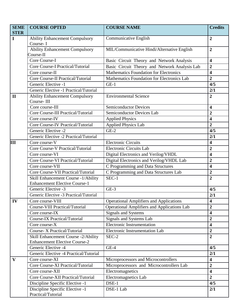| <b>SEME</b><br><b>STER</b> | <b>COURSE OPTED</b>                                 | <b>COURSE NAME</b>                                 | <b>Credits</b>          |
|----------------------------|-----------------------------------------------------|----------------------------------------------------|-------------------------|
| $\mathbf I$                | <b>Ability Enhancement Compulsory</b>               | Communicative English                              | $\overline{2}$          |
|                            | Course-I                                            |                                                    |                         |
|                            | <b>Ability Enhancement Compulsory</b>               | MIL/Communicative Hindi/Alternative English        | $\overline{2}$          |
|                            | Course-II                                           |                                                    |                         |
|                            | Core Course-I                                       | Basic Circuit Theory and Network Analysis          | $\overline{\mathbf{4}}$ |
|                            | <b>Core Course-I Practical/Tutorial</b>             | Basic Circuit Theory and Network Analysis Lab      | $\overline{2}$          |
|                            | Core course-II                                      | <b>Mathematics Foundation for Electronics</b>      | $\overline{\mathbf{4}}$ |
|                            | <b>Core Course-II Practical/Tutorial</b>            | Mathematics Foundation for Electronics Lab         | $\overline{2}$          |
|                            | Generic Elective -1                                 | $GE-1$                                             | 4/5                     |
|                            | Generic Elective -1 Practical/Tutorial              |                                                    | 2/1                     |
| $\mathbf{I}$               | <b>Ability Enhancement Compulsory</b><br>Course-III | <b>Environmental Science</b>                       | $\overline{2}$          |
|                            | Core course-III                                     | <b>Semiconductor Devices</b>                       | 4                       |
|                            | <b>Core Course-III Practical/Tutorial</b>           | Semiconductor Devices Lab                          | $\overline{2}$          |
|                            | Core course-IV                                      | <b>Applied Physics</b>                             | $\overline{\mathbf{4}}$ |
|                            | Core Course-IV Practical/Tutorial                   | <b>Applied Physics Lab</b>                         | $\overline{2}$          |
|                            | Generic Elective -2                                 | $GE-2$                                             | 4/5                     |
|                            | Generic Elective -2 Practical/Tutorial              |                                                    | 2/1                     |
| Ш                          | Core course-V                                       | <b>Electronic Circuits</b>                         | $\overline{\mathbf{4}}$ |
|                            | <b>Core Course-V Practical/Tutorial</b>             | <b>Electronic Circuits Lab</b>                     | $\boldsymbol{2}$        |
|                            | Core course-VI                                      | Digital Electronics and Verilog/VHDL               | 4                       |
|                            | Core Course-VI Practical/Tutorial                   | Digital Electronics and Verilog/VHDL Lab           | $\overline{2}$          |
|                            | Core course-VII                                     | C Programming and Data Structures                  | 4                       |
|                            | Core Course-VII Practical/Tutorial                  | C Programming and Data Structures Lab              | $\overline{2}$          |
|                            | Skill Enhancement Course -1/Ability                 | SEC-1                                              | $\overline{2}$          |
|                            | <b>Enhancement Elective Course-1</b>                |                                                    |                         |
|                            | Generic Elective -3                                 | $GE-3$                                             | 4/5                     |
|                            | Generic Elective -3 Practical/Tutorial              |                                                    | 2/1                     |
| IV                         | Core course-VIII                                    | <b>Operational Amplifiers and Applications</b>     | 4                       |
|                            | <b>Course-VIII Practical/Tutorial</b>               | <b>Operational Amplifiers and Applications Lab</b> | $\boldsymbol{2}$        |
|                            | Core course-IX                                      | <b>Signals and Systems</b>                         | $\overline{\mathbf{4}}$ |
|                            | <b>Course-IX Practical/Tutorial</b>                 | Signals and Systems Lab                            | $\mathbf{2}$            |
|                            | Core course-X                                       | <b>Electronic Instrumentation</b>                  | $\overline{\mathbf{4}}$ |
|                            | Course- X Practical/Tutorial                        | Electronic Instrumentation Lab                     | $\mathbf{2}$            |
|                            | Skill Enhancement Course -2/Ability                 | SEC-2                                              | $\overline{2}$          |
|                            | <b>Enhancement Elective Course-2</b>                |                                                    |                         |
|                            | Generic Elective -4                                 | $GE-4$                                             | 4/5                     |
|                            | Generic Elective -4 Practical/Tutorial              |                                                    | 2/1                     |
| V                          | Core course-XI                                      | Microprocessors and Microcontrollers               | $\overline{\mathbf{4}}$ |
|                            | Core Course-XI Practical/Tutorial                   | Microprocessors and Microcontrollers Lab           | $\overline{2}$          |
|                            | Core course-XII                                     | Electromagnetics                                   | $\overline{\mathbf{4}}$ |
|                            | Core Course-XII Practical/Tutorial                  | Electromagnetics Lab                               | $\overline{2}$          |
|                            | Discipline Specific Elective -1                     | DSE-1                                              | 4/5                     |
|                            | Discipline Specific Elective -1                     | DSE-1 Lab                                          | 2/1                     |
|                            | Practical/Tutorial                                  |                                                    |                         |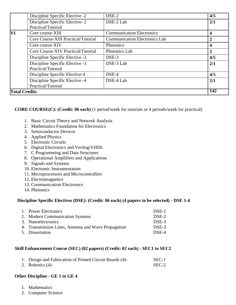|                      | Discipline Specific Elective -2                       | DSE-2                                | 4/5              |
|----------------------|-------------------------------------------------------|--------------------------------------|------------------|
|                      | Discipline Specific Elective-2<br>Practical/Tutorial  | DSE-2 Lab                            | 2/1              |
| VI                   | Core course-XIII                                      | <b>Communication Electronics</b>     | 4                |
|                      | Core Course-XIII Practical/Tutorial                   | <b>Communication Electronics Lab</b> | 2                |
|                      | Core course-XIV                                       | Photonics                            | $\boldsymbol{4}$ |
|                      | Core Course-XIV Practical/Tutorial                    | Photonics Lab                        | $\overline{2}$   |
|                      | Discipline Specific Elective -3                       | DSE-3                                | 4/5              |
|                      | Discipline Specific Elective -3<br>Practical/Tutorial | DSE-3 Lab                            | 2/1              |
|                      | Discipline Specific Elective-4                        | DSE-4                                | 4/5              |
|                      | Discipline Specific Elective -4<br>Practical/Tutorial | DSE-4 Lab                            | 2/1              |
| <b>Total Credits</b> |                                                       |                                      | 142              |

**CORE COURSE(C): (Credit: 06 each)** (1 period/week for tutorials or 4 periods/week for practical)

- 1. Basic Circuit Theory and Network Analysis
- 2. Mathematics Foundation for Electronics
- 3. Semiconductor Devices
- 4. Applied Physics
- 5. Electronic Circuits
- 6. Digital Electronics and Verilog/VHDL
- 7. C Programming and Data Structures
- 8. Operational Amplifiers and Applications
- 9. Signals and Systems
- 10. Electronic Instrumentation
- 11. Microprocessors and Microcontrollers
- 12. Electromagnetics
- 13. Communication Electronics
- 14. Photonics

## **Discipline Specific Electives (DSE): (Credit: 06 each) (4 papers to be selected) - DSE 1-4**

| 1. Power Electronics                                | DSE-1 |
|-----------------------------------------------------|-------|
| 2. Modern Communication Systems                     | DSE-2 |
| 3. Nanoelectronics                                  | DSE-3 |
| 4. Transmission Lines, Antenna and Wave Propagation | DSE-3 |
| 5. Dissertation                                     | DSE-4 |

## **Skill Enhancement Course (SEC) (02 papers) (Credit: 02 each) - SEC1 to SEC2**

| 1. Design and Fabrication of Printed Circuit Boards (4)- | SEC-1 |
|----------------------------------------------------------|-------|
| 2. Robotics $(4)$ -                                      | SEC-2 |

## **Other Discipline - GE 1 to GE 4**

- 1. Mathematics
- 2. Computer Science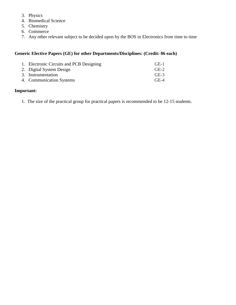- 3. Physics
- 4. Biomedical Science
- 5. Chemistry
- 6. Commerce
- 7. Any other relevant subject to be decided upon by the BOS in Electronics from time to time

# **Generic Elective Papers (GE) for other Departments/Disciplines: (Credit: 06 each)**

| 1. Electronic Circuits and PCB Designing | $GE-1$ |
|------------------------------------------|--------|
| 2. Digital System Design                 | $GE-2$ |
| 3. Instrumentation                       | $GE-3$ |
| 4. Communication Systems                 | $GE-4$ |

## **Important:**

1. The size of the practical group for practical papers is recommended to be 12-15 students.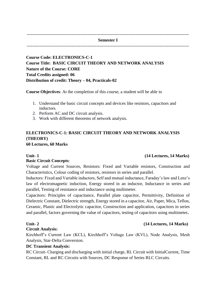---------------------------------------------------------------------------------------------------------------- **Semester I** ----------------------------------------------------------------------------------------------------------------

**Course Code: ELECTRONICS-C-1 Course Title: BASIC CIRCUIT THEORY AND NETWORK ANALYSIS Nature of the Course: CORE Total Credits assigned: 06 Distribution of credit: Theory – 04, Practicals-02**

**Course Objectives**: At the completion of this course, a student will be able to

- 1. Understand the basic circuit concepts and devices like resistors, capacitors and inductors.
- 2. Perform AC and DC circuit analysis.
- 3. Work with different theorems of network analysis.

# **ELECTRONICS-C-1: BASIC CIRCUIT THEORY AND NETWORK ANALYSIS (THEORY)**

**60 Lectures, 60 Marks**

## **Basic Circuit Concepts**:

Voltage and Current Sources, Resistors: Fixed and Variable resistors, Construction and Characteristics, Colour coding of resistors, resistors in series and parallel.

Inductors: Fixed and Variable inductors, Self and mutual inductance, Faraday's law and Lenz's law of electromagnetic induction, Energy stored in an inductor, Inductance in series and parallel, Testing of resistance and inductance using multimeter.

Capacitors: Principles of capacitance, Parallel plate capacitor, Permittivity, Definition of Dielectric Constant, Dielectric strength, Energy stored in a capacitor, Air, Paper, Mica, Teflon, Ceramic, Plastic and Electrolytic capacitor, Construction and application, capacitors in series and parallel, factors governing the value of capacitors, testing of capacitors using multimeter**.** 

## **Circuit Analysis:**

Kirchhoff's Current Law (KCL), Kirchhoff's Voltage Law (KVL), Node Analysis, Mesh Analysis, Star-Delta Conversion.

## **DC Transient Analysis:**

RC Circuit- Charging and discharging with initial charge, RL Circuit with InitialCurrent, Time Constant, RL and RC Circuits with Sources, DC Response of Series RLC Circuits.

## **Unit- 1 (14 Lectures, 14 Marks)**

## **Unit- 2 (14 Lectures, 14 Marks)**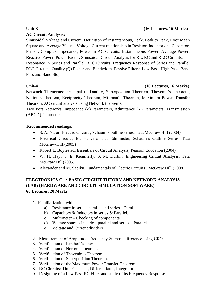# **AC Circuit Analysis:**

# **Unit-3 (16 Lectures, 16 Marks)**

Sinusoidal Voltage and Current, Definition of Instantaneous, Peak, Peak to Peak, Root Mean Square and Average Values. Voltage-Current relationship in Resistor, Inductor and Capacitor, Phasor, Complex Impedance, Power in AC Circuits: Instantaneous Power, Average Power, Reactive Power, Power Factor. Sinusoidal Circuit Analysis for RL, RC and RLC Circuits.

Resonance in Series and Parallel RLC Circuits, Frequency Response of Series and Parallel RLC Circuits, Quality (Q) Factor and Bandwidth. Passive Filters: Low Pass, High Pass, Band Pass and Band Stop.

## **Unit-4 (16 Lectures, 16 Marks)**

**Network Theorems**: Principal of Duality, Superposition Theorem, Thevenin's Theorem, Norton's Theorem, Reciprocity Theorem, Millman's Theorem, Maximum Power Transfer Theorem. AC circuit analysis using Network theorems.

Two Port Networks: Impedance (Z) Parameters, Admittance (Y) Parameters, Transmission (ABCD) Parameters.

## **Recommended readings:**

- S. A. Nasar, Electric Circuits, Schaum's outline series, Tata McGraw Hill (2004)
- Electrical Circuits, M. Nahvi and J. Edminister, Schaum's Outline Series, Tata McGraw-Hill.(2005)
- Robert L. Boylestad, Essentials of Circuit Analysis, Pearson Education (2004)
- W. H. Hayt, J. E. Kemmerly, S. M. Durbin, Engineering Circuit Analysis, Tata McGraw Hill(2005)
- Alexander and M. Sadiku, Fundamentals of Electric Circuits , McGraw Hill (2008)

# **ELECTRONICS-C-1: BASIC CIRCUIT THEORY AND NETWORK ANALYSIS (LAB) (HARDWARE AND CIRCUIT SIMULATION SOFTWARE) 60 Lectures, 20 Marks**

- 1. Familiarization with
	- a) Resistance in series, parallel and series Parallel.
	- b) Capacitors & Inductors in series & Parallel.
	- c) Multimeter Checking of components.
	- d) Voltage sources in series, parallel and series Parallel
	- e) Voltage and Current dividers
- 2. Measurement of Amplitude, Frequency & Phase difference using CRO.
- 3. Verification of Kirchoff's Law.
- 4. Verification of Norton's theorem.
- 5. Verification of Thevenin's Theorem.
- 6. Verification of Superposition Theorem.
- 7. Verification of the Maximum Power Transfer Theorem.
- 8. RC Circuits: Time Constant, Differentiator, Integrator.
- 9. Designing of a Low Pass RC Filter and study of its Frequency Response.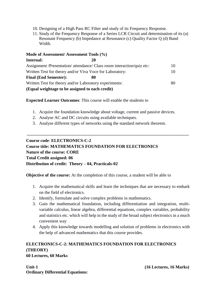- 10. Designing of a High Pass RC Filter and study of its Frequency Response.
- 11. Study of the Frequency Response of a Series LCR Circuit and determination of its (a) Resonant Frequency (b) Impedance at Resonance (c) Quality Factor Q (d) Band Width.

| Mode of Assessment/Assessment Tools (%)                  |                                                                        |    |
|----------------------------------------------------------|------------------------------------------------------------------------|----|
| Internal:                                                |                                                                        |    |
|                                                          | Assignment /Presentation/ attendance/ Class room interaction/quiz etc: | 10 |
| Written Test for theory and/or Viva Voce for Laboratory: |                                                                        | 10 |
| <b>Final (End Semester):</b>                             | XO                                                                     |    |
| Written Test for theory and/or Laboratory experiments:   |                                                                        | 80 |
| (Equal weightage to be assigned to each credit)          |                                                                        |    |

**Expected Learner Outcomes**: This course will enable the students to

- 1. Acquire the foundation knowledge about voltage, current and passive devices.
- 2. Analyse AC and DC circuits using available techniques.
- 3. Analyse different types of networks using the standard network theorem.

# **----------------------------------------------------------------------------------------------------------------**

# **Course code**: **ELECTRONICS-C-2**

**Course title: MATHEMATICS FOUNDATION FOR ELECTRONICS Nature of the course: CORE Total Credit assigned: 06 Distribution of credit: Theory – 04, Practicals-02**

**Objective of the course:** At the completion of this course, a student will be able to

- 1. Acquire the mathematical skills and learn the techniques that are necessary to embark on the field of electronics.
- 2. Identify, formulate and solve complex problems in mathematics.
- 3. Gain the mathematical foundation, including differentiation and integration, multivariable calculus, linear algebra, differential equations, complex variables, probability and statistics etc. which will help in the study of the broad subject electronics in a much convenient way
- 4. Apply this knowledge towards modelling and solution of problems in electronics with the help of advanced mathematics that this course provides.

# **ELECTRONICS-C-2: MATHEMATICS FOUNDATION FOR ELECTRONICS (THEORY)**

**60 Lectures, 60 Marks**

**Unit-1 (16 Lectures, 16 Marks) Ordinary Differential Equations:**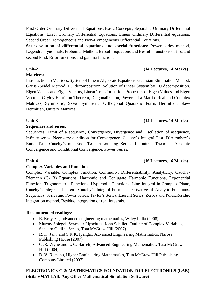First Order Ordinary Differential Equations**,** Basic Concepts, Separable Ordinary Differential Equations, Exact Ordinary Differential Equations, Linear Ordinary Differential equations, Second Order Homogeneous and Non-Homogeneous Differential Equations**.**

**Series solution of differential equations and special functions:** Power series method, Legendre olynomials, Frobenius Method, Bessel's equations and Bessel's functions of first and second kind. Error functions and gamma function**.**

## **Unit-2 (14 Lectures, 14 Marks)**

# **Matrices:**

Introduction to Matrices, System of Linear Algebraic Equations, Gaussian Elimination Method, Gauss -Seidel Method, LU decomposition, Solution of Linear System by LU decomposition. Eigen Values and Eigen Vectors, Linear Transformation, Properties of Eigen Values and Eigen Vectors, Cayley-Hamilton Theorem, Diagonalization, Powers of a Matrix. Real and Complex Matrices, Symmetric, Skew Symmetric, Orthogonal Quadratic Form, Hermitian, Skew Hermitian, Unitary Matrices**.**

## **Unit-3 (14 Lectures, 14 Marks)**

## **Sequences and series:**

Sequences, Limit of a sequence, Convergence, Divergence and Oscillation of asequence, Infinite series, Necessary condition for Convergence, Cauchy's Integral Test, D'Alembert's Ratio Test, Cauchy's nth Root Test, Alternating Series, Leibnitz's Theorem, Absolute Convergence and Conditional Convergence, Power Series**.**

## **Unit-4 (16 Lectures, 16 Marks)**

## **Complex Variables and Functions:**

Complex Variable, Complex Function, Continuity, Differentiability, Analyticity. Cauchy-Riemann (C- R) Equations, Harmonic and Conjugate Harmonic Functions, Exponential Function, Trigonometric Functions, Hyperbolic Functions. Line Integral in Complex Plane, Cauchy's Integral Theorem, Cauchy's Integral Formula, Derivative of Analytic Functions. Sequences, Series and Power Series, Taylor's Series, Laurent Series, Zeroes and Poles.Residue integration method, Residue integration of real Integrals.

## **Recommended readings:**

- E. Kreyszig, advanced engineering mathematics, Wiley India (2008)
- Murray Spiegel, Seymour Lipschutz, John Schiller, Outline of Complex Variables, Schaum Outline Series, Tata McGraw Hill (2007)
- R. K. Jain, and S.R.K. Iyengar, Advanced Engineering Mathematics, Narosa Publishing House (2007)
- C .R. Wylie and L. C. Barrett, Advanced Engineering Mathematics, Tata McGraw-Hill (2004)
- B. V. Ramana, Higher Engineering Mathematics, Tata McGraw Hill Publishing Company Limited (2007)

# **ELECTRONICS-C-2: MATHEMATICS FOUNDATION FOR ELECTRONICS (LAB) (Scilab/MATLAB/ Any Other Mathematical Simulation Software)**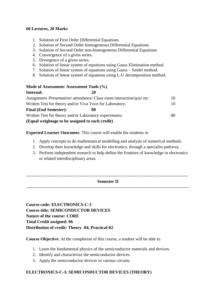## **60 Lectures, 20 Marks**

- 1. Solution of First Order Differential Equations
- 2. Solution of Second Order homogeneous Differential Equations
- 3. Solution of Second Order non-homogeneous Differential Equations
- 4. Convergence of a given series.
- 5. Divergence of a given series.
- 6. Solution of linear system of equations using Gauss Elimination method.
- 7. Solution of linear system of equations using Gauss Seidel method.
- 8. Solution of linear system of equations using L-U decomposition method.

## **Mode of Assessment/ Assessment Tools (%)**

| Internal:                                                | 20                                                                     |    |
|----------------------------------------------------------|------------------------------------------------------------------------|----|
|                                                          | Assignment /Presentation/ attendance/ Class room interaction/quiz etc: | 10 |
| Written Test for theory and/or Viva Voce for Laboratory: |                                                                        | 10 |
| <b>Final (End Semester):</b>                             | 80                                                                     |    |
| Written Test for theory and/or Laboratory experiments:   |                                                                        | 80 |
| (Equal weightage to be assigned to each credit)          |                                                                        |    |

## **Expected Learner Outcomes**: This course will enable the students to

- 1. Apply concepts to do mathematical modelling and analysis of numerical methods.
- 2. Develop their knowledge and skills for electronics, through a specialist pathway.
- 3. Perform independent research to help define the frontiers of knowledge in electronics or related interdisciplinary areas.

## ---------------------------------------------------------------------------------------------------------------- **Semester II**

----------------------------------------------------------------------------------------------------------------

**Course code: ELECTRONICS-C-3 Course title: SEMICONDUCTOR DEVICES Nature of the course: CORE Total Credit assigned: 06 Distribution of credit: Theory -04, Practical-02**

## **Course Objective**: At the completion of this course, a student will be able to

- 1. Learn the fundamental physics of the semiconductor materials and devices.
- 2. Identify and characterize the semiconductor devices.
- 3. Apply the semiconductor devices in various circuits.

# **ELECTRONICS-C-3: SEMICONDUCTOR DEVICES (THEORY)**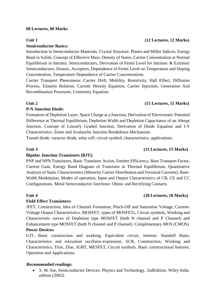## **60 Lectures, 60 Marks**

## **Semiconductor Basics:**

Introduction to Semiconductor Materials, Crystal Structure, Planes and Miller Indices, Energy Band in Solids, Concept of Effective Mass, Density of States, Carrier Concentration at Normal Equilibrium in Intrinsic Semiconductors, Derivation of Fermi Level for Intrinsic & Extrinsic Semiconductors, Donors, Acceptors, Dependence of Fermi Level on Temperature and Doping Concentration, Temperature Dependence of Carrier Concentrations.

Carrier Transport Phenomena: Carrier Drift, Mobility, Resistivity, Hall Effect, Diffusion Process, Einstein Relation, Current Density Equation, Carrier Injection, Generation And Recombination Processes, Continuity Equation.

## **Unit 2 (15 Lectures, 15 Marks)**

## **P-N Junction Diode:**

Formation of Depletion Layer, Space Charge at a Junction, Derivation of Electrostatic Potential Difference at Thermal Equilibrium, Depletion Width and Depletion Capacitance of an Abrupt Junction. Concept of Linearly Graded Junction, Derivation of Diode Equation and I-V Characteristics. Zener and Avalanche Junction Breakdown Mechanism.

Tunnel diode, varactor diode, solar cell: circuit symbol, characteristics, applications.

## **Bipolar Junction Transistors (BJT):**

PNP and NPN Transistors, Basic Transistor Action, Emitter Efficiency, Base Transport Factor, Current Gain, Energy Band Diagram of Transistor in Thermal Equilibrium, Quantitative Analysis of Static Characteristics (Minority Carrier Distribution and Terminal Currents), Base-Width Modulation, Modes of operation, Input and Output Characteristics of CB, CE and CC Configurations. Metal Semiconductor Junctions: Ohmic and Rectifying Contacts.

## **Unit 4 (18 Lectures, 18 Marks)**

## **Field Effect Transistors:**

JFET, Construction, Idea of Channel Formation, Pinch-Off and Saturation Voltage, Current-Voltage Output Characteristics. MOSFET, types of MOSFETs, Circuit symbols, Working and Characteristic curves of Depletion type MOSFET (both N channel and P Channel) and Enhancement type MOSFET (both N channel and P channel). Complimentary MOS (CMOS). **Power Devices:** 

UJT, Basic construction and working, Equivalent circuit, intrinsic Standoff Ratio, Characteristics and relaxation oscillator-expression. SCR, Construction, Working and Characteristics, Triac, Diac, IGBT, MESFET, Circuit symbols, Basic constructional features, Operation and Applications.

## **Recommended readings:**

 S. M. Sze, Semiconductor Devices: Physics and Technology, 2ndEdition, Wiley India edition (2002).

# **Unit 1 (12 Lectures, 12 Marks)**

## **Unit 3 (15 Lectures, 15 Marks)**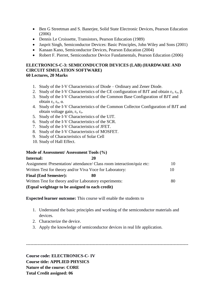- Ben G Streetman and S. Banerjee, Solid State Electronic Devices, Pearson Education (2006)
- Dennis Le Croissette, Transistors, Pearson Education (1989)
- Jasprit Singh, Semiconductor Devices: Basic Principles, John Wiley and Sons (2001)
- Kanaan Kano, Semiconductor Devices, Pearson Education (2004)
- Robert F. Pierret, Semiconductor Device Fundamentals, Pearson Education (2006)

## **ELECTRONICS-C-3: SEMICONDUCTOR DEVICES (LAB) (HARDWARE AND CIRCUIT SIMULATION SOFTWARE) 60 Lectures, 20 Marks**

- 1. Study of the I-V Characteristics of Diode Ordinary and Zener Diode.
- 2. Study of the I-V Characteristics of the CE configuration of BJT and obtain  $r_i$ ,  $r_o$ ,  $\beta$ .
- 3. Study of the I-V Characteristics of the Common Base Configuration of BJT and obtain  $r_i$ ,  $r_o$ , α.
- 4. Study of the I-V Characteristics of the Common Collector Configuration of BJT and obtain voltage gain, ri, ro.
- 5. Study of the I-V Characteristics of the UJT.
- 6. Study of the I-V Characteristics of the SCR.
- 7. Study of the I-V Characteristics of JFET.
- 8. Study of the I-V Characteristics of MOSFET.
- 9. Study of Characteristics of Solar Cell
- 10. Study of Hall Effect.

## **Mode of Assessment/ Assessment Tools (%)**

| Internal:                                                | 20                                                                     |    |
|----------------------------------------------------------|------------------------------------------------------------------------|----|
|                                                          | Assignment /Presentation/ attendance/ Class room interaction/quiz etc: | 10 |
| Written Test for theory and/or Viva Voce for Laboratory: |                                                                        | 10 |
| <b>Final (End Semester):</b>                             | 80                                                                     |    |
| Written Test for theory and/or Laboratory experiments:   |                                                                        | 80 |
| (Equal weightage to be assigned to each credit)          |                                                                        |    |

**Expected learner outcome:** This course will enable the students to

1. Understand the basic principles and working of the semiconductor materials and devices.

----------------------------------------------------------------------------------------------------------------

- 2. Characterize the device.
- 3. Apply the knowledge of semiconductor devices in real life application.

**Course code: ELECTRONICS-C- IV Course title: APPLIED PHYSICS Nature of the course: CORE Total Credit assigned: 06**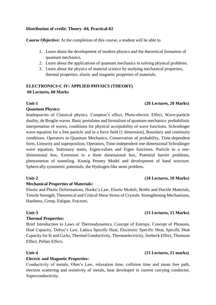## **Distribution of credit: Theory -04, Practical-02**

**Course Objective:** At the completion of this course, a student will be able to

- 1. Learn about the development of modern physics and the theoretical formation of quantum mechanics.
- 2. Learn about the applications of quantum mechanics in solving physical problems.
- 3. Learn about the physics of material science by studying mechanical properties, thermal properties, elastic and magnetic properties of materials.

# **ELECTRONICS-C IV: APPLIED PHYSICS (THEORY) 60 Lectures, 60 Marks**

## **Quantum Physics:**

Inadequacies of Classical physics. Compton's effect, Photo-electric Effect, Wave-particle duality, de Broglie waves. Basic postulates and formalism of quantum mechanics: probabilistic interpretation of waves, conditions for physical acceptability of wave functions. Schrodinger wave equation for a free particle and in a force field (1 dimension), Boundary and continuity conditions. Operators in Quantum Mechanics, Conservation of probability, Time-dependent form, Linearity and superposition, Operators, Time-independent one dimensional Schrodinger wave equation, Stationary states, Eigen-values and Eigen functions. Particle in a onedimensional box, Extension to a three dimensional box, Potential barrier problems, phenomenon of tunneling. Kronig Penney Model and development of band structure. Spherically symmetric potentials, the Hydrogen-like atom problem**.**

## **Mechanical Properties of Materials:**

Elastic and Plastic Deformations, Hooke's Law, Elastic Moduli, Brittle and Ductile Materials, Tensile Strength, Theoretical and Critical Shear Stress of Crystals. Strengthening Mechanisms, Hardness, Creep, Fatigue, Fracture**.**

## **Unit-3 (15 Lectures, 15 Marks)**

# **Thermal Properties:**

Brief Introduction to Laws of Thermodynamics, Concept of Entropy, Concept of Phonons, Heat Capacity, Debye's Law, Lattice Specific Heat, Electronic Specific Heat, Specific Heat Capacity for Si and GaAs, Thermal Conductivity, Thermoelectricity, Seebeck Effect, Thomson Effect, Peltier Effect**.**

## **Unit-4 (15 Lectures, 15 marks)**

## **Electric and Magnetic Properties:**

Conductivity of metals, Ohm's Law, relaxation time, collision time and mean free path, electron scattering and resistivity of metals, heat developed in current carrying conductor, Superconductivity.

# **Unit-2 (10 Lectures, 10 Marks)**

# **Unit-1 (20 Lectures, 20 Marks)**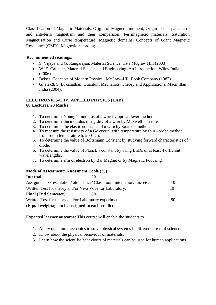Classification of Magnetic Materials, Origin of Magnetic moment, Origin of dia, para, ferro and anti-ferro magnetism and their comparison, Ferrimagnetic materials, Saturation Magnetisation and Curie temperature, Magnetic domains, Concepts of Giant Magnetic Resistance (GMR), Magnetic recording.

## **Recommended readings:**

- S. Vijaya and G. Rangarajan, Material Science, Tata Mcgraw Hill (2003)
- W. E. Callister, Material Science and Engineering: An Introduction, Wiley India (2006)
- Beiser, Concepts of Modern Physics, McGraw-Hill Book Company (1987)
- Ghatak& S. Lokanathan, Quantum Mechanics: Theory and Applications, Macmillan India (2004).

## **ELECTRONICS-C IV: APPLIED PHYSICS (LAB) 60 Lectures, 20 Marks**

- 1. To determine Young's modulus of a wire by optical lever method.
- 2. To determine the modulus of rigidity of a wire by Maxwell's needle.
- 3. To determine the elastic constants of a wire by Searle's method.
- 4. To measure the resistivity of a Ge crystal with temperature by four –probe method from room temperature to  $200^{\circ}$ C).
- 5. To determine the value of Boltzmann Constant by studying forward characteristics of diode.
- 6. To determine the value of Planck's constant by using LEDs of at least 4 different wavelengths.
- 7. To determine e/m of electron by Bar Magnet or by Magnetic Focusing.

## **Mode of Assessment/ Assessment Tools (%)**

| Internal:                                                | 20                                                                     |    |
|----------------------------------------------------------|------------------------------------------------------------------------|----|
|                                                          | Assignment /Presentation/ attendance/ Class room interaction/quiz etc: | 10 |
| Written Test for theory and/or Viva Voce for Laboratory: |                                                                        | 10 |
| <b>Final (End Semester):</b>                             | 80                                                                     |    |
| Written Test for theory and/or Laboratory experiments:   |                                                                        | 80 |
| (Equal weightage to be assigned to each credit)          |                                                                        |    |

**Expected learner outcome:** This course will enable the students to

- 1. Apply quantum mechanics to solve physical systems in different areas of science.
- 2. Know about the physical behaviour of materials.
- 3. Learn how the scientific behaviours of materials can be used for human applications.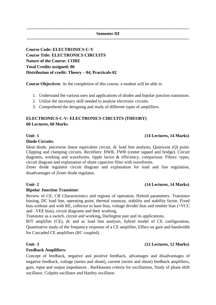**---------------------------------------------------------------------------------------------------------------- Semester III**

**----------------------------------------------------------------------------------------------------------------**

# **Course Code: ELECTRONICS-C-V Course Title: ELECTRONICS CIRCUITS Nature of the Course: CORE Total Credits assigned: 06 Distribution of credit: Theory – 04, Practicals-02**

**Course Objectives**: At the completion of this course, a student will be able to

- 1. Understand the various uses and applications of diodes and bipolar junction transistors.
- 2. Utilise the necessary skill needed to analyse electronic circuits.
- 3. Comprehend the designing and study of different types of amplifiers.

# **ELECTRONICS-C-V: ELECTRONICS CIRCUITS (THEORY) 60 Lectures, 60 Marks**

## **Unit- 1 (14 Lectures, 14 Marks)**

## **Diode Circuits**:

Ideal diode, piecewise linear equivalent circuit, dc load line analysis, Quiescent (Q) point. Clipping and clamping circuits. Rectifiers: HWR, FWR (center tapped and bridge). Circuit diagrams, working and waveforms, ripple factor & efficiency, comparison. Filters: types, circuit diagram and explanation of shunt capacitor filter with waveforms.

Zener diode regulator circuit diagram and explanation for load and line regulation, disadvantages of Zener diode regulator.

## **Unit- 2 (14 Lectures, 14 Marks)**

## **Bipolar Junction Transistor**:

Review of CE, CB Characteristics and regions of operation. Hybrid parameters. Transistor biasing, DC load line, operating point, thermal runaway, stability and stability factor, Fixed bias without and with RE, collector to base bias, voltage divider bias and emitter bias (+VCC and –VEE bias), circuit diagrams and their working.

Transistor as a switch, circuit and working**,** Darlington pair and its applications.

BJT amplifier (CE), dc and ac load line analysis, hybrid model of CE configuration, Quantitative study of the frequency response of a CE amplifier, Effect on gain and bandwidth for Cascaded CE amplifiers (RC coupled).

## **Feedback Amplifiers:**

Concept of feedback, negative and positive feedback, advantages and disadvantages of negative feedback, voltage (series and shunt), current (series and shunt) feedback amplifiers, gain, input and output impedances . Barkhausen criteria for oscillations, Study of phase shift oscillator, Colpitts oscillator and Hartley oscillator.

# **Unit- 3 (12 Lectures, 12 Marks)**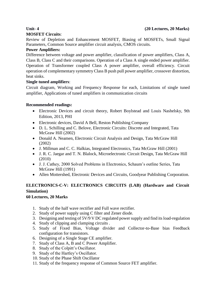## **Unit- 4 (20 Lectures, 20 Marks)**

## **MOSFET Circuits**:

Review of Depletion and Enhancement MOSFET, Biasing of MOSFETs, Small Signal Parameters, Common Source amplifier circuit analysis, CMOS circuits.

## **Power Amplifiers:**

Difference between voltage and power amplifier, classification of power amplifiers, Class A, Class B, Class C and their comparisons. Operation of a Class A single ended power amplifier. Operation of Transformer coupled Class A power amplifier, overall efficiency. Circuit operation of complementary symmetry Class B push pull power amplifier, crossover distortion, heat sinks.

## **Single tuned amplifiers**:

Circuit diagram, Working and Frequency Response for each, Limitations of single tuned amplifier, Applications of tuned amplifiers in communication circuits

## **Recommended readings:**

- Electronic Devices and circuit theory, Robert Boylstead and Louis Nashelsky, 9th Edition, 2013, PHI
- Electronic devices, David A Bell, Reston Publishing Company
- D. L. Schilling and C. Belove, Electronic Circuits: Discrete and Integrated, Tata McGraw Hill (2002)
- Donald A. Neamen, Electronic Circuit Analysis and Design, Tata McGraw Hill (2002)
- J. Millman and C. C. Halkias, Integrated Electronics, Tata McGraw Hill (2001)
- J. R. C. Jaegar and T. N. Blalock, Microelectronic Circuit Design, Tata McGraw Hill (2010)
- J. J. Cathey, 2000 Solved Problems in Electronics, Schaum's outline Series, Tata McGraw Hill (1991)
- Allen Mottershed, Electronic Devices and Circuits, Goodyear Publishing Corporation.

# **ELECTRONICS-C-V: ELECTRONICS CIRCUITS (LAB) (Hardware and Circuit Simulation)**

## **60 Lectures, 20 Marks**

- 1. Study of the half wave rectifier and Full wave rectifier.
- 2. Study of power supply using C filter and Zener diode.
- 3. Designing and testing of 5V/9 V DC regulated power supply and find its load-regulation
- 4. Study of clipping and clamping circuits .
- 5. Study of Fixed Bias, Voltage divider and Collector-to-Base bias Feedback configuration for transistors.
- 6. Designing of a Single Stage CE amplifier.
- 7. Study of Class A, B and C Power Amplifier.
- 8. Study of the Colpitt's Oscillator.
- 9. Study of the Hartley's Oscillator.
- 10. Study of the Phase Shift Oscillator
- 11. Study of the frequency response of Common Source FET amplifier.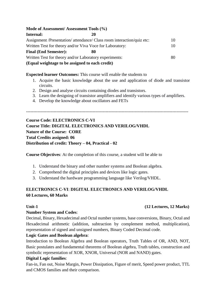**Mode of Assessment/ Assessment Tools (%) Internal: 20** Assignment /Presentation/ attendance/ Class room interaction/quiz etc: 10 Written Test for theory and/or Viva Voce for Laboratory: 10 **Final (End Semester): 80** Written Test for theory and/or Laboratory experiments: 80 **(Equal weightage to be assigned to each credit)**

**Expected learner Outcomes:** This course will enable the students to

- 1. Acquire the basic knowledge about the use and application of diode and transistor circuits.
- 2. Design and analyse circuits containing diodes and transistors.
- 3. Learn the designing of transistor amplifiers and identify various types of amplifiers.

----------------------------------------------------------------------------------------------------------------

4. Develop the knowledge about oscillators and FETs

**Course Code: ELECTRONICS C-VI Course Title: DIGITAL ELECTRONICS AND VERILOG/VHDL Nature of the Course: CORE Total Credits assigned: 06 Distribution of credit: Theory – 04, Practical - 02**

**Course Objectives**: At the completion of this course, a student will be able to

- 1. Understand the binary and other number systems and Boolean algebra.
- 2. Comprehend the digital principles and devices like logic gates.
- 3. Understand the hardware programming language like Verilog/VHDL.

# **ELECTRONICS C-VI**: **DIGITAL ELECTRONICS AND VERILOG/VHDL 60 Lectures, 60 Marks**

## **Number System and Codes**:

Decimal, Binary, Hexadecimal and Octal number systems, base conversions, Binary, Octal and Hexadecimal arithmetic (addition, subtraction by complement method, multiplication), representation of signed and unsigned numbers, Binary Coded Decimal code.

## **Logic Gates and Boolean algebra**:

Introduction to Boolean Algebra and Boolean operators, Truth Tables of OR, AND, NOT, Basic postulates and fundamental theorems of Boolean algebra, Truth tables, construction and symbolic representation of XOR, XNOR, Universal (NOR and NAND) gates.

## **Digital Logic families**:

Fan-in, Fan out, Noise Margin, Power Dissipation, Figure of merit, Speed power product, TTL and CMOS families and their comparison.

# **Unit-1 (12 Lectures, 12 Marks)**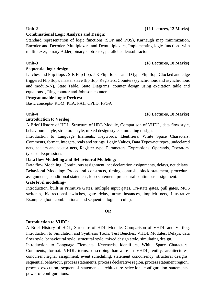# **Unit-2 (12 Lectures, 12 Marks)**

# **Combinational Logic Analysis and Design**:

Standard representation of logic functions (SOP and POS), Karnaugh map minimization, Encoder and Decoder, Multiplexers and Demultiplexers, Implementing logic functions with multiplexer, binary Adder, binary subtractor, parallel adder/subtractor

## **Unit-3 (18 Lectures, 18 Marks)**

## **Sequential logic design**:

Latches and Flip flops , S-R Flip flop, J-K Flip flop, T and D type Flip flop, Clocked and edge triggered Flip flops, master slave flip flop, Registers, Counters (synchronous and asynchronous and modulo-N), State Table, State Diagrams, counter design using excitation table and equations. , Ring counter and Johnson counter.

## **Programmable Logic Devices:**

Basic concepts- ROM, PLA, PAL, CPLD, FPGA

## **Introduction to Verilog:**

A Brief History of HDL, Structure of HDL Module, Comparison of VHDL, data flow style, behavioural style, structural style, mixed design style, simulating design.

Introduction to Language Elements, Keywords, Identifiers, White Space Characters, Comments, format, Integers, reals and strings. Logic Values, Data Types-net types, undeclared nets, scalars and vector nets, Register type, Parameters. Expressions, Operands, Operators, types of Expressions

# **Data flow Modelling and Behavioural Modeling:**

Data flow Modeling: Continuous assignment, net declaration assignments, delays, net delays. Behavioral Modeling: Procedural constructs, timing controls, block statement, procedural assignments, conditional statement, loop statement, procedural continuous assignment.

# **Gate level modelling**–

Introduction, built in Primitive Gates, multiple input gates, Tri-state gates, pull gates, MOS switches, bidirectional switches, gate delay, array instances, implicit nets, Illustrative Examples (both combinational and sequential logic circuits).

## **OR**

# **Introduction to VHDL:**

A Brief History of HDL, Structure of HDL Module, Comparison of VHDL and Verilog, Introduction to Simulation and Synthesis Tools, Test Benches. VHDL Modules, Delays, data flow style, behavioural style, structural style, mixed design style, simulating design.

Introduction to Language Elements, Keywords, Identifiers, White Space Characters, Comments, format. VHDL terms, describing hardware in VHDL, entity, architectures, concurrent signal assignment, event scheduling, statement concurrency, structural designs, sequential behaviour, process statements, process declarative region, process statement region, process execution, sequential statements, architecture selection, configuration statements, power of configurations.

# **Unit-4 (18 Lectures, 18 Marks)**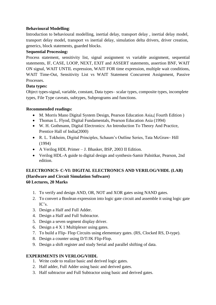# **Behavioural Modelling**:

Introduction to behavioural modelling, inertial delay, transport delay , inertial delay model, transport delay model, transport vs inertial delay, simulation delta drivers, driver creation, generics, block statements, guarded blocks.

# **Sequential Processing:**

Process statement, sensitivity list, signal assignment vs variable assignment, sequential statements, IF, CASE, LOOP, NEXT, EXIT and ASSERT statements, assertion BNF, WAIT ON signal, WAIT UNTIL expression, WAIT FOR time expression, multiple wait conditions, WAIT Time-Out, Sensitivity List vs WAIT Statement Concurrent Assignment, Passive Processes.

# **Data types:**

Object types-signal, variable, constant, Data types– scalar types, composite types, incomplete types, File Type caveats, subtypes, Subprograms and functions.

# **Recommended readings:**

- M. Morris Mano Digital System Design, Pearson Education Asia, (Fourth Edition)
- Thomas L. Flyod, Digital Fundamentals, Pearson Education Asia (1994)
- W. H. Gothmann, Digital Electronics: An Introduction To Theory And Practice, Prentice Hall of India(2000)
- R. L. Tokheim, Digital Principles, Schaum's Outline Series, Tata McGraw- Hill (1994)
- A Verilog HDL Primer J. Bhasker, BSP, 2003 II Edition.
- Verilog HDL-A guide to digital design and synthesis-Samir Palnitkar, Pearson, 2nd edition.

# **ELECTRONICS- C-VI: DIGITAL ELECTRONICS AND VERILOG/VHDL (LAB) (Hardware and Circuit Simulation Software) 60 Lectures, 20 Marks**

- 1. To verify and design AND, OR, NOT and XOR gates using NAND gates.
- 2. To convert a Boolean expression into logic gate circuit and assemble it using logic gate IC's.
- 3. Design a Half and Full Adder.
- 4. Design a Half and Full Subtractor.
- 5. Design a seven segment display driver.
- 6. Design a 4 X 1 Multiplexer using gates.
- 7. To build a Flip- Flop Circuits using elementary gates. (RS, Clocked RS, D-type).
- 8. Design a counter using D/T/JK Flip-Flop.
- 9. Design a shift register and study Serial and parallel shifting of data.

# **EXPERIMENTS IN VERLOG/VHDL**

- 1. Write code to realize basic and derived logic gates.
- 2. Half adder, Full Adder using basic and derived gates.
- 3. Half subtractor and Full Subtractor using basic and derived gates.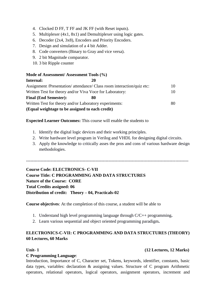- 4. Clocked D FF, T FF and JK FF (with Reset inputs).
- 5. Multiplexer (4x1, 8x1) and Demultiplexer using logic gates.
- 6. Decoder (2x4, 3x8), Encoders and Priority Encoders.
- 7. Design and simulation of a 4 bit Adder.
- 8. Code converters (Binary to Gray and vice versa).
- 9. 2 bit Magnitude comparator.
- 10. 3 bit Ripple counter

## **Mode of Assessment/ Assessment Tools (%)**

| Internal:                                                | 20                                                                     |     |
|----------------------------------------------------------|------------------------------------------------------------------------|-----|
|                                                          | Assignment /Presentation/ attendance/ Class room interaction/quiz etc: | 10  |
| Written Test for theory and/or Viva Voce for Laboratory: |                                                                        | 10  |
| <b>Final (End Semester):</b>                             | 80                                                                     |     |
| Written Test for theory and/or Laboratory experiments:   |                                                                        | 80. |
| (Equal weightage to be assigned to each credit)          |                                                                        |     |

## **Expected Learner Outcomes:** This course will enable the students to

- 1. Identify the digital logic devices and their working principles.
- 2. Write hardware level program in Verilog and VHDL for designing digital circuits.
- 3. Apply the knowledge to critically asses the pros and cons of various hardware design methodologies.

----------------------------------------------------------------------------------------------------------------

**Course Code: ELECTRONICS- C-VII Course Title: C PROGRAMMING AND DATA STRUCTURES Nature of the Course: CORE Total Credits assigned: 06 Distribution of credit: Theory – 04, Practicals-02**

**Course objectives**: At the completion of this course, a student will be able to

- 1. Understand high level programming language through C/C++ programming**.**
- 2. Learn various sequential and object oriented programming paradigm**.**

# **ELECTRONICS-C-VII: C PROGRAMMING AND DATA STRUCTURES (THEORY) 60 Lectures, 60 Marks**

## **Unit- 1 (12 Lectures, 12 Marks)**

## **C Programming Language**:

Introduction, Importance of C, Character set, Tokens, keywords, identifier, constants, basic data types, variables: declaration & assigning values. Structure of C program Arithmetic operators, relational operators, logical operators, assignment operators, increment and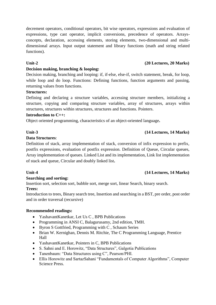decrement operators, conditional operators, bit wise operators, expressions and evaluation of expressions, type cast operator, implicit conversions, precedence of operators. Arraysconcepts, declaration, accessing elements, storing elements, two-dimensional and multidimensional arrays. Input output statement and library functions (math and string related functions).

# **Unit-2 (20 Lectures, 20 Marks)**

## **Decision making, branching & looping:**

Decision making, branching and looping: if, if-else, else-if, switch statement, break, for loop, while loop and do loop. Functions: Defining functions, function arguments and passing, returning values from functions.

## **Structures:**

Defining and declaring a structure variables, accessing structure members, initializing a structure, copying and comparing structure variables, array of structures, arrays within structures, structures within structures, structures and functions. Pointers.

## **Introduction to C++:**

Object oriented programming, characteristics of an object-oriented language**.**

## **Unit-3 (14 Lectures, 14 Marks)**

## **Data Structures**:

Definition of stack, array implementation of stack, conversion of infix expression to prefix, postfix expressions, evaluation of postfix expression. Definition of Queue, Circular queues, Array implementation of queues. Linked List and its implementation, Link list implementation of stack and queue, Circular and doubly linked list**.**

## **Unit-4 (14 Lectures, 14 Marks)**

# **Searching and sorting:**

Insertion sort, selection sort, bubble sort, merge sort, linear Search, binary search. **Trees:** 

Introduction to trees, Binary search tree, Insertion and searching in a BST, pre order, post order and in order traversal (recursive)

## **Recommended readings:**

- YashavantKanetkar, Let Us C, BPB Publications
- Programming in ANSI C, Balagurusamy, 2nd edition, TMH.
- Byron S Gottfried, Programming with C , Schaum Series
- Brian W. Kernighan, Dennis M. Ritchie, The C Programming Language, Prentice Hall
- YashavantKanetkar, Pointers in C, BPB Publications
- S. Sahni and E. Horowitz, "Data Structures", Galgotia Publications
- Tanenbaum: "Data Structures using C", Pearson/PHI.
- Ellis Horowitz and SartazSahani "Fundamentals of Computer Algorithms", Computer Science Press.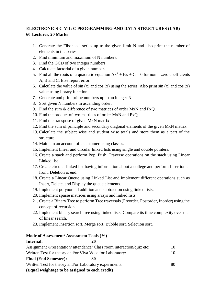# **ELECTRONICS-C-VII: C PROGRAMMING AND DATA STRUCTURES (LAB**) **60 Lectures, 20 Marks**

- 1. Generate the Fibonacci series up to the given limit N and also print the number of elements in the series.
- 2. Find minimum and maximum of N numbers.
- 3. Find the GCD of two integer numbers.
- 4. Calculate factorial of a given number.
- 5. Find all the roots of a quadratic equation  $Ax^{2} + Bx + C = 0$  for non zero coefficients A, B and C. Else report error.
- 6. Calculate the value of  $sin(x)$  and  $cos(x)$  using the series. Also print  $sin(x)$  and  $cos(x)$ value using library function.
- 7. Generate and print prime numbers up to an integer N.
- 8. Sort given N numbers in ascending order.
- 9. Find the sum & difference of two matrices of order MxN and PxQ.
- 10. Find the product of two matrices of order MxN and PxQ.
- 11. Find the transpose of given MxN matrix.
- 12. Find the sum of principle and secondary diagonal elements of the given MxN matrix.
- 13. Calculate the subject wise and student wise totals and store them as a part of the structure.
- 14. Maintain an account of a customer using classes.
- 15. Implement linear and circular linked lists using single and double pointers.
- 16. Create a stack and perform Pop, Push, Traverse operations on the stack using Linear Linked list
- 17. Create circular linked list having information about a college and perform Insertion at front, Deletion at end.
- 18. Create a Linear Queue using Linked List and implement different operations such as Insert, Delete, and Display the queue elements.
- 19. Implement polynomial addition and subtraction using linked lists.
- 20. Implement sparse matrices using arrays and linked lists.
- 21. Create a Binary Tree to perform Tree traversals (Preorder, Postorder, Inorder) using the concept of recursion.
- 22. Implement binary search tree using linked lists. Compare its time complexity over that of linear search.
- 23. Implement Insertion sort, Merge sort, Bubble sort, Selection sort.

## **Mode of Assessment/ Assessment Tools (%)**

## **Internal: 20**

| Assignment /Presentation/ attendance/ Class room interaction/quiz etc:                                      |  |
|-------------------------------------------------------------------------------------------------------------|--|
| Written Test for theory and/or Viva Voce for Laboratory:                                                    |  |
| <b>Final (End Semester):</b><br>80                                                                          |  |
| Written Test for theory and/or Laboratory experiments:                                                      |  |
| $\sqrt{15}$ and $\sqrt{11}$ and $\sqrt{11}$ and $\sqrt{11}$ and $\sqrt{11}$ and $\sqrt{11}$ and $\sqrt{11}$ |  |

**(Equal weightage to be assigned to each credit)**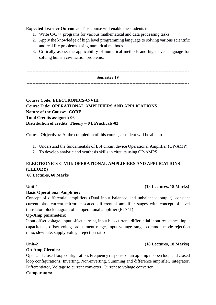**Expected Learner Outcomes:** This course will enable the students to

- 1. Write C/C++ programs for various mathematical and data processing tasks
- 2. Apply the knowledge of high level programming language to solving various scientific and real life problems using numerical methods
- 3. Critically assess the applicability of numerical methods and high level language for solving human civilization problems.

| <b>Semester IV</b> |  |
|--------------------|--|
|                    |  |

# **Course Code: ELECTRONICS-C-VIII Course Title: OPERATIONAL AMPLIFIERS AND APPLICATIONS Nature of the Course: CORE Total Credits assigned: 06 Distribution of credits: Theory – 04, Practicals-02**

**Course Objectives**: At the completion of this course, a student will be able to

- 1. Understand the fundamentals of LSI circuit device Operational Amplifier (OP-AMP).
- 2. To develop analytic and synthesis skills in circuits using OP-AMPS.

# **ELECTRONICS-C-VIII: OPERATIONAL AMPLIFIERS AND APPLICATIONS (THEORY)**

## **60 Lectures, 60 Marks**

## **Basic Operational Amplifier:**

Concept of differential amplifiers (Dual input balanced and unbalanced output), constant current bias, current mirror, cascaded differential amplifier stages with concept of level translator, block diagram of an operational amplifier (IC 741)

## **Op-Amp parameters**:

Input offset voltage, input offset current, input bias current, differential input resistance, input capacitance, offset voltage adjustment range, input voltage range, common mode rejection ratio, slew rate, supply voltage rejection ratio

## **Op-Amp Circuits:**

Open and closed loop configuration, Frequency response of an op-amp in open loop and closed loop configurations, Inverting, Non-inverting, Summing and difference amplifier, Integrator, Differentiator, Voltage to current converter, Current to voltage converter.

## **Comparators:**

# **Unit-1 (18 Lectures, 18 Marks)**

# **Unit-2 (18 Lectures, 18 Marks)**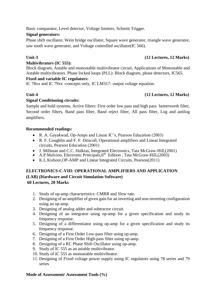Basic comparator, Level detector, Voltage limiters, Schmitt Trigger.

## **Signal generators:**

Phase shift oscillator, Wein bridge oscillator, Square wave generator, triangle wave generator, saw tooth wave generator, and Voltage controlled oscillator(IC 566).

# **Unit-3 (12 Lectures, 12 Marks)**

## **Multivibrators (IC 555):**

Block diagram, Astable and monostable multivibrator circuit, Applications of Monostable and Astable multivibrators. Phase locked loops (PLL): Block diagram, phase detectors, IC565.

## **Fixed and variable IC regulators:**

IC 78xx and IC 79xx -concepts only, IC LM317- output voltage equation.

# **Unit-4 (12 Lectures, 12 Marks)**

# **Signal Conditioning circuits:**

Sample and hold systems, Active filters: First order low pass and high pass butterworth filter, Second order filters, Band pass filter, Band reject filter, All pass filter, Log and antilog amplifiers.

## **Recommended readings:**

- R. A. Gayakwad, Op-Amps and Linear IC's, Pearson Education (2003)
- R. F. Coughlin and F. F. Driscoll, Operational amplifiers and Linear Integrated circuits, Pearson Education (2001)
- J. Millman and C.C. Halkias, Integrated Electronics, Tata McGraw-Hill,(2001)
- $\bullet$  A.P.Malvino, Electronic Principals, 6<sup>th</sup> Edition, Tata McGraw-Hill, (2003)
- K.L.Kishore,OP-AMP and Linear Integrated Circuits, Pearson(2011)

# **ELECTRONICS-C-VIII: OPERATIONAL AMPLIFIERS AND APPLICATION (LAB) (Hardware and Circuit Simulation Software)**

**60 Lectures, 20 Marks**

- 1. Study of op-amp characteristics: CMRR and Slew rate.
- 2. Designing of an amplifier of given gain for an inverting and non-inverting configuration using an op-amp.
- 3. Designing of analog adder and subtractor circuit.
- 4. Designing of an integrator using op-amp for a given specification and study its frequency response.
- 5. Designing of a differentiator using op-amp for a given specification and study its frequency response.
- 6. Designing of a First Order Low-pass filter using op-amp.
- 7. Designing of a First Order High-pass filter using op-amp.
- 8. Designing of a RC Phase Shift Oscillator using op-amp.
- 9. Study of IC 555 as an astable multivibrator.
- 10. Study of IC 555 as monostable multivibrator.
- 11. Designing of Fixed voltage power supply using IC regulators using 78 series and 79 series

## **Mode of Assessment/ Assessment Tools (%)**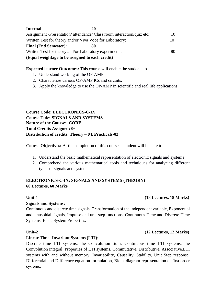| Internal:                                                | 20                                                                     |    |
|----------------------------------------------------------|------------------------------------------------------------------------|----|
|                                                          | Assignment /Presentation/ attendance/ Class room interaction/quiz etc: | 10 |
| Written Test for theory and/or Viva Voce for Laboratory: |                                                                        | 10 |
| <b>Final (End Semester):</b>                             | 80                                                                     |    |
| Written Test for theory and/or Laboratory experiments:   |                                                                        | 80 |
| (Equal weightage to be assigned to each credit)          |                                                                        |    |

## **Expected learner Outcomes:** This course will enable the students to

- 1. Understand working of the OP-AMP.
- 2. Characterize various OP-AMP ICs and circuits.
- 3. Apply the knowledge to use the OP-AMP in scientific and real life applications.

----------------------------------------------------------------------------------------------------------------

**Course Code: ELECTRONICS-C-IX Course Title: SIGNALS AND SYSTEMS Nature of the Course: CORE Total Credits Assigned: 06 Distribution of credits: Theory – 04, Practicals-02**

**Course Objectives:** At the completion of this course, a student will be able to

- 1. Understand the basic mathematical representation of electronic signals and systems
- 2. Comprehend the various mathematical tools and techniques for analyzing different types of signals and systems

# **ELECTRONICS-C-IX: SIGNALS AND SYSTEMS (THEORY) 60 Lectures, 60 Marks**

## **Signals and Systems:**

Continuous and discrete time signals, Transformation of the independent variable, Exponential and sinusoidal signals, Impulse and unit step functions, Continuous-Time and Discrete-Time Systems, Basic System Properties.

## **Linear Time -Invariant Systems (LTI):**

Discrete time LTI systems, the Convolution Sum, Continuous time LTI systems, the Convolution integral. Properties of LTI systems, Commutative, Distributive, Associative.LTI systems with and without memory, Invariability, Causality, Stability, Unit Step response. Differential and Difference equation formulation, Block diagram representation of first order systems.

# **Unit-1 (18 Lectures, 18 Marks)**

## **Unit-2 (12 Lectures, 12 Marks)**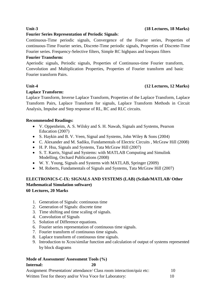## **Fourier Series Representation of Periodic Signals**:

Continuous-Time periodic signals, Convergence of the Fourier series, Properties of continuous-Time Fourier series, Discrete-Time periodic signals, Properties of Discrete-Time Fourier series. Frequency-Selective filters, Simple RC highpass and lowpass filters

## **Fourier Transform:**

Aperiodic signals, Periodic signals, Properties of Continuous-time Fourier transform, Convolution and Multiplication Properties, Properties of Fourier transform and basic Fourier transform Pairs.

# **Unit-4 (12 Lectures, 12 Marks)**

## **Laplace Transform:**

Laplace Transform, Inverse Laplace Transform, Properties of the Laplace Transform, Laplace Transform Pairs, Laplace Transform for signals, Laplace Transform Methods in Circuit Analysis, Impulse and Step response of RL, RC and RLC circuits.

# **Recommended Readings:**

- V. Oppenheim, A. S. Wilsky and S. H. Nawab, Signals and Systems, Pearson Education (2007)
- S. Haykin and B. V. Veen, Signal and Systems, John Wiley & Sons (2004)
- C. Alexander and M. Sadiku, Fundamentals of Electric Circuits , McGraw Hill (2008)
- H. P. Hsu, Signals and Systems, Tata McGraw Hill (2007)
- S. T. Karris, Signal and Systems: with MATLAB Computing and Simulink Modelling, Orchard Publications (2008)
- W. Y. Young, Signals and Systems with MATLAB, Springer (2009)
- M. Roberts, Fundamentals of Signals and Systems, Tata McGraw Hill (2007)

# **ELECTRONICS-C-IX: SIGNALS AND SYSTEMS (LAB) (Scilab/MATLAB/ Other Mathematical Simulation software) 60 Lectures, 20 Marks**

- 1. Generation of Signals: continuous time
- 2. Generation of Signals: discrete time
- 3. Time shifting and time scaling of signals.
- 4. Convolution of Signals
- 5. Solution of Difference equations.
- 6. Fourier series representation of continuous time signals.
- 7. Fourier transform of continuous time signals.
- 8. Laplace transform of continuous time signals.
- 9. Introduction to Xcos/similar function and calculation of output of systems represented by block diagrams

## **Mode of Assessment/ Assessment Tools (%) Internal: 20**

| Assignment /Presentation/ attendance/ Class room interaction/quiz etc: |  |
|------------------------------------------------------------------------|--|
| Written Test for theory and/or Viva Voce for Laboratory:               |  |

## **Unit-3 (18 Lectures, 18 Marks)**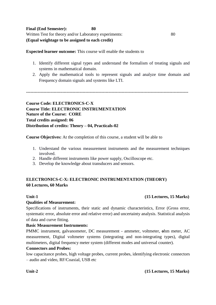**Expected learner outcome:** This course will enable the students to

- 1. Identify different signal types and understand the formalism of treating signals and systems in mathematical domain.
- 2. Apply the mathematical tools to represent signals and analyze time domain and Frequency domain signals and systems like LTI.

**----------------------------------------------------------------------------------------------------------------**

**Course Code: ELECTRONICS-C-X Course Title: ELECTRONIC INSTRUMENTATION Nature of the Course: CORE Total credits assigned: 06 Distribution of credits: Theory – 04, Practicals-02**

**Course Objectives:** At the completion of this course, a student will be able to

- 1. Understand the various measurement instruments and the measurement techniques involved.
- 2. Handle different instruments like power supply, Oscilloscope etc.
- 3. Develop the knowledge about transducers and sensors.

# **ELECTRONICS-C-X: ELECTRONIC INSTRUMENTATION (THEORY) 60 Lectures, 60 Marks**

## **Unit-1 (15 Lectures, 15 Marks)**

## **Qualities of Measurement:**

Specifications of instruments, their static and dynamic characteristics, Error (Gross error, systematic error, absolute error and relative error) and uncertainty analysis. Statistical analysis of data and curve fitting.

## **Basic Measurement Instruments:**

PMMC instrument, galvanometer, DC measurement - ammeter, voltmeter, **o**hm meter, AC measurement, Digital voltmeter systems (integrating and non-integrating types), digital multimeters, digital frequency meter system (different modes and universal counter).

## **Connectors and Probes:**

low capacitance probes, high voltage probes, current probes, identifying electronic connectors – audio and video, RF/Coaxial, USB etc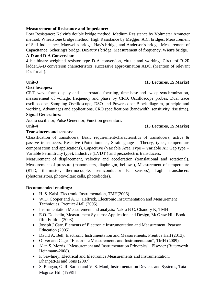## **Measurement of Resistance and Impedance:**

Low Resistance: Kelvin's double bridge method, Medium Resistance by Voltmeter Ammeter method, Wheatstone bridge method, High Resistance by Megger. A.C. bridges, Measurement of Self Inductance, Maxwell's bridge, Hay's bridge, and Anderson's bridge, Measurement of Capacitance, Schering's bridge, DeSauty's bridge, Measurement of frequency, Wien's bridge.

## **A-D and D-A Conversion:**

4 bit binary weighted resistor type D-A conversion, circuit and working. Circuitof R-2R ladder.A-D conversion characteristics, successive approximation ADC. (Mention of relevant ICs for all).

## **Unit-3 (15 Lectures, 15 Marks)**

## **Oscilloscopes:**

CRT, wave form display and electrostatic focusing, time base and sweep synchronization, measurement of voltage, frequency and phase by CRO, Oscilloscope probes, Dual trace oscilloscope, Sampling Oscilloscope, DSO and Powerscope: Block diagram, principle and working, Advantages and applications, CRO specifications (bandwidth, sensitivity, rise time). **Signal Generators**:

Audio oscillator, Pulse Generator, Function generators**.**

## **Unit-4 (15 Lectures, 15 Marks)**

## **Transducers and sensors:**

Classification of transducers, Basic requirement/characteristics of transducers, active & passive transducers, Resistive (Potentiometer, Strain gauge – Theory, types, temperature compensation and applications), Capacitive (Variable Area Type – Variable Air Gap type – Variable Permittivity type), Inductive (LVDT ) and piezoelectric transducers.

Measurement of displacement, velocity and acceleration (translational and rotational). Measurement of pressure (manometers, diaphragm, bellows), Measurement of temperature (RTD, thermistor, thermocouple, semiconductor IC sensors), Light transducers (photoresistors, photovoltaic cells, photodiodes).

## **Recommended readings:**

- H. S. Kalsi, Electronic Instrumentaion, TMH(2006)
- W.D. Cooper and A. D. Helfrick, Electronic Instrumentation and Measurement Techniques, Prentice-Hall (2005).
- Instrumentation Measurement and analysis: Nakra B C, Chaudry K, TMH
- E.O. Doebelin, Measurement Systems: Application and Design, McGraw Hill Book fifth Edition (2003).
- Joseph J Carr, Elements of Electronic Instrumentation and Measurement, Pearson Education (2005)
- David A. Bell, Electronic Instrumentation and Measurements, Prentice Hall (2013).
- Oliver and Cage, "Electronic Measurements and Instrumentation", TMH (2009).
- Alan S. Morris, "Measurement and Instrumentation Principles", Elsevier (Buterworth Heinmann-2008).
- K Sawhney, Electrical and Electronics Measurements and Instrumentation, DhanpatRai and Sons (2007).
- S. Rangan, G. R. Sarma and V. S. Mani, Instrumentation Devices and Systems, Tata Megraw Hill (1998 $\Box$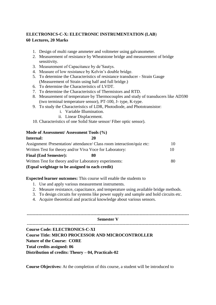# **ELECTRONICS-C-X: ELECTRONIC INSTRUMENTATION (LAB**) **60 Lectures, 20 Marks**

- 1. Design of multi range ammeter and voltmeter using galvanometer.
- 2. Measurement of resistance by Wheatstone bridge and measurement of bridge sensitivity.
- 3. Measurement of Capacitance by de'Sautys.
- 4. Measure of low resistance by Kelvin's double bridge.
- 5. To determine the Characteristics of resistance transducer Strain Gauge (Measurement of Strain using half and full bridge.)
- 6. To determine the Characteristics of LVDT.
- 7. To determine the Characteristics of Thermistors and RTD.
- 8. Measurement of temperature by Thermocouples and study of transducers like AD590 (two terminal temperature sensor), PT-100, J- type, K-type.
- 9. To study the Characteristics of LDR, Photodiode, and Phototransistor:
	- i. Variable Illumination.
	- ii. Linear Displacement.
- 10. Characteristics of one Solid State sensor/ Fiber optic sensor).

## **Mode of Assessment/ Assessment Tools (%)**

| Internal:                                                              | 20 |    |
|------------------------------------------------------------------------|----|----|
| Assignment /Presentation/ attendance/ Class room interaction/quiz etc: |    | 10 |
| Written Test for theory and/or Viva Voce for Laboratory:               |    | 10 |
| <b>Final (End Semester):</b>                                           | 80 |    |
| Written Test for theory and/or Laboratory experiments:                 |    | 80 |
| (Equal weightage to be assigned to each credit)                        |    |    |

- **Expected learner outcomes:** This course will enable the students to
	- 1. Use and apply various measurement instruments.
	- 2. Measure resistance, capacitance, and temperature using available bridge methods.
	- 3. To design circuits for systems like power supply and sample and hold circuits etc.
	- 4. Acquire theoretical and practical knowledge about various sensors.

| <b>Semester V</b>                                        |
|----------------------------------------------------------|
| <b>Course Code: ELECTRONICS-C-XI</b>                     |
| <b>Course Title: MICRO PROCESSOR AND MICROCONTROLLER</b> |
| <b>Nature of the Course: CORE</b>                        |
| Total credits assigned: 06                               |
| Distribution of credits: Theory – 04, Practicals-02      |

**Course Objectives:** At the completion of this course, a student will be introduced to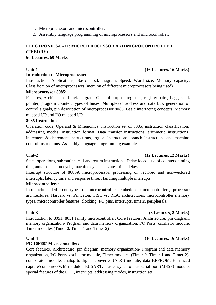- 1. Microprocessors and microcontroller**.**
- 2. Assembly language programming of microprocessors and microcontroller**.**

# **ELECTRONICS-C-XI: MICRO PROCESSOR AND MICROCONTROLLER (THEORY)**

## **60 Lectures, 60 Marks**

## **Introduction to Microprocessor:**

Introduction, Applications, Basic block diagram, Speed, Word size, Memory capacity, Classification of microprocessors (mention of different microprocessors being used)

## **Microprocessor 8085:**

Features, Architecture -block diagram, General purpose registers, register pairs, flags, stack pointer, program counter, types of buses. Multiplexed address and data bus, generation of control signals, pin description of microprocessor 8085. Basic interfacing concepts, Memory mapped I/O and I/O mapped I/O.

## **8085 Instructions:**

Operation code, Operand & Mnemonics. Instruction set of 8085, instruction classification, addressing modes, instruction format. Data transfer instructions, arithmetic instructions, increment & decrement instructions, logical instructions, branch instructions and machine control instructions. Assembly language programming examples.

## **Unit-2 (12 Lectures, 12 Marks)**

Stack operations, subroutine, call and return instructions. Delay loops, use of counters, timing diagrams-instruction cycle, machine cycle, T- states, time delay.

Interrupt structure of 8085A microprocessor, processing of vectored and non-vectored interrupts, latency time and response time; Handling multiple interrupts

## **Microcontrollers:**

Introduction, Different types of microcontroller, embedded microcontrollers, processor architectures. Harvard vs. Princeton, CISC vs. RISC architectures, microcontroller memory types, microcontroller features, clocking, I/O pins, interrupts, timers, peripherals,

Introduction to 8051, 8051 family microcontroller, Core features, Architecture, pin diagram, memory organization- Program and data memory organization, I/O Ports, oscillator module, Timer modules (Timer 0, Timer 1 and Timer 2)

## **Unit-4 (16 Lectures, 16 Marks)**

## **PIC16F887 Microcontroller:**

Core features, Architecture, pin diagram, memory organization- Program and data memory organization, I/O Ports, oscillator module, Timer modules (Timer 0, Timer 1 and Timer 2), comparator module, analog-to-digital converter (ADC) module, data EEPROM, Enhanced capture/compare/PWM module , EUSART, master synchronous serial port (MSSP) module, special features of the CPU, interrupts, addressing modes, instruction set.

## **Unit-3 (8 Lectures, 8 Marks)**

# **Unit-1 (16 Lectures, 16 Marks)**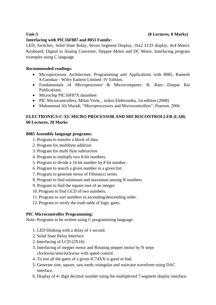## **Unit-5 (8 Lectures, 8 Marks)**

# **Interfacing with PIC16F887 and 8051 Family:**

LED, Switches, Solid State Relay, Seven Segment Display, 16x2 LCD display, 4x4 Matrix Keyboard, Digital to Analog Converter, Stepper Motor and DC Motor. Interfacing program examples using C language.

# **Recommended readings:**

- Microprocessor Architecture, Programming and Applications with 8085, Ramesh S.Gaonkar - Wiley Eastern Limited- IV Edition.
- Fundamentals of Microprocessor & Microcomputer: B. Ram—Danpat Rai Publications.
- Microchip PIC16F87X datasheet
- PIC Microcontrollers, Milan Verle, , mikro Elektronika, 1st edition (2008)
- Muhammad Ali Mazidi, "Microprocessors and Microcontrollers", Pearson, 2006

# **ELECTRONICS-C-XI: MICRO PROCESSOR AND MICROCONTROLLER (LAB) 60 Lectures, 20 Marks**

## **8085 Assembly language programs:**

- 1. Program to transfer a block of data.
- 2. Program for multibyte addition
- 3. Program for multi byte subtraction
- 4. Program to multiply two 8-bit numbers.
- 5. Program to divide a 16 bit number by 8 bit number.
- 6. Program to search a given number in a given list.
- 7. Program to generate terms of Fibonacci series.
- 8. Program to find minimum and maximum among N numbers
- 9. Program to find the square root of an integer.
- 10. Program to find GCD of two numbers.
- 11. Program to sort numbers in ascending/descending order.
- 12. Program to verify the truth table of logic gates.

# **PIC Microcontroller Programming:**

Note: Programs to be written using C programming language

- 1. LED blinking with a delay of 1 second.
- 2. Solid State Relay Interface
- 2. Interfacing of LCD (2X16).
- 3. Interfacing of stepper motor and Rotating stepper motor by N steps clockwise/anticlockwise with speed control.
- 4. To test all the gates of a given IC74XX is good or bad.
- 5. Generate sine, square, saw tooth, triangular and staircase waveform using DAC interface.
- 6. Display of 4- digit decimal number using the multiplexed 7-segment display interface.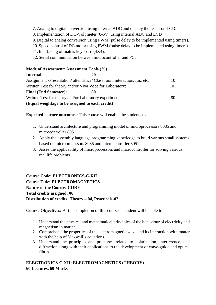- 7. Analog to digital conversion using internal ADC and display the result on LCD.
- 8. Implementation of DC-Volt meter (0-5V) using internal ADC and LCD
- 9. Digital to analog conversion using PWM (pulse delay to be implemented using timers).
- 10. Speed control of DC motor using PWM (pulse delay to be implemented using timers).
- 11. Interfacing of matrix keyboard (4X4).
- 12. Serial communication between microcontroller and PC.

## **Mode of Assessment/ Assessment Tools (%)**

| Internal:                                                              | 20 |    |
|------------------------------------------------------------------------|----|----|
| Assignment /Presentation/ attendance/ Class room interaction/quiz etc: |    | 10 |
| Written Test for theory and/or Viva Voce for Laboratory:               |    | 10 |
| <b>Final (End Semester):</b>                                           | 80 |    |
| Written Test for theory and/or Laboratory experiments:                 |    | 80 |
| (Equal weightage to be assigned to each credit)                        |    |    |

**Expected learner outcomes:** This course will enable the students to

- 1. Understand architecture and programming model of microprocessors 8085 and microcontroller 8051
- 2. Apply the assembly language programming knowledge to build various small systems based on microprocessors 8085 and microcontroller 8051.
- 3. Asses the applicability of microprocessors and microcontroller for solving various real life problems

----------------------------------------------------------------------------------------------------------------

# **Course Code: ELECTRONICS-C-XII Course Title: ELECTROMAGNETICS Nature of the Course: CORE Total credits assigned: 06 Distribution of credits: Theory – 04, Practicals-02**

**Course Objectives:** At the completion of this course, a student will be able to

- 1. Understand the physical and mathematical principles of the behaviour of electricity and magnetism in matter.
- 2. Comprehend the properties of the electromagnetic wave and its interaction with matter with the help of Maxwell's equations.
- 3. Understand the principles and processes related to polarization, interference, and diffraction along with their applications to the development of wave-guide and optical fibres.

## **ELECTRONICS-C-XII: ELECTROMAGNETICS (THEORY) 60 Lectures, 60 Marks**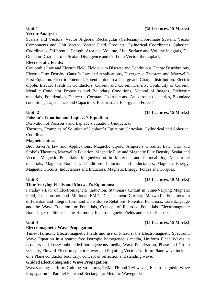# **Unit-1 (15 Lectures, 15 Marks)**

# **Vector Analysis:**

Scalars and Vectors, Vector Algebra, Rectangular (Cartesian) Coordinate System, Vector Components and Unit Vector, Vector Field, Products, Cylindrical Coordinates, Spherical Coordinates, Differential Length, Area and Volume, Line Surface and Volume integrals, Del Operator, Gradient of a Scalar, Divergence and Curl of a Vector, the Laplacian.

## **Electrostatic Fields:**

Coulomb's Law and Electric Field, Field due to Discrete and Continuous Charge Distributions, Electric Flux Density, Gauss's Law and Applications, Divergence Theorem and Maxwell's First Equation. Electric Potential, Potential due to a Charge and Charge distribution, Electric dipole. Electric Fields in Conductors, Current and Current Density, Continuity of Current, Metallic Conductor Properties and Boundary Conditions, Method of Images. Dielectric materials, Polarization, Dielectric Constant, Isotropic and Anisotropic dielectrics, Boundary conditions, Capacitance and Capacitors. Electrostatic Energy and Forces.

## **Unit- 2 (15 Lectures, 15 Marks)**

## **Poisson's Equation and Laplace's Equation:**

Derivation of Poisson's and Laplace's equation, Uniqueness

Theorem, Examples of Solution of Laplace's Equation: Cartesian, Cylindrical and Spherical Coordinates.

## **Magnetostatics:**

Biot Savert's law and Applications, Magnetic dipole, Ampere's Circuital Law, Curl and Stoke's Theorem, Maxwell's Equation, Magnetic Flux and Magnetic Flux Density, Scalar and Vector Magnetic Potentials. Magnetization in Materials and Permeability, Anisotropic materials, Magnetic Boundary Conditions, Inductors and Inductances, Magnetic Energy, Magnetic Circuits. Inductances and Inductors, Magnetic Energy, Forces and Torques.

## **Unit-3 (15 Lectures, 15 Marks)**

## **Time-Varying Fields and Maxwell's Equations:**

Faraday's Law of Electromagnetic Induction, Stationary Circuit in Time-Varying Magnetic Field, Transformer and Motional EMF, Displacement Current, Maxwell's Equations in differential and integral form and Constitutive Relations. Potential Functions, Lorentz gauge and the Wave Equation for Potentials, Concept of Retarded Potentials. Electromagnetic Boundary Conditions. Time-Harmonic Electromagnetic Fields and use of Phasors

## **Electromagnetic Wave Propagation:**

Time- Harmonic Electromagnetic Fields and use of Phasors, the Electromagnetic Spectrum, Wave Equation in a source free isotropic homogeneous media, Uniform Plane Waves in Lossless and Lossy unbounded homogeneous media, Wave Polarization, Phase and Group velocity, Flow of Electromagnetic Power and Poynting Vector. Uniform Plane wave incident on a Plane conductor boundary, concept of reflection and standing wave.

## **Guided Electromagnetic Wave Propagation:**

Waves along Uniform Guiding Structures, TEM, TE and TM waves, Electromagnetic Wave Propagation in Parallel Plate and Rectangular Metallic Waveguides.

# **Unit-4 (15 Lectures, 15 Marks)**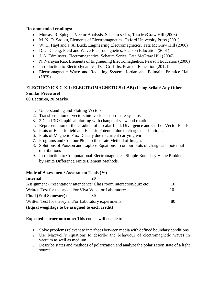## **Recommended readings:**

- Murray. R. Spiegel, Vector Analysis, Schaum series, Tata McGraw Hill (2006)
- M. N. O. Sadiku, Elements of Electromagnetics, Oxford University Press (2001)
- W. H. Hayt and J. A. Buck, Engineering Electromagnetics, Tata McGraw Hill (2006)
- D. C. Cheng, Field and Wave Electromagnetics, Pearson Education (2001)
- J. A. Edminster, Electromagnetics, Schaum Series, Tata McGraw Hill (2006)
- N. Narayan Rao, Elements of Engineering Electromagnetics, Pearson Education (2006)
- Introduction to Electrodynamics, D.J. Griffiths, Pearson Education (2012)
- Electromagnetic Wave and Radiating System, Jordan and Balmain, Prentice Hall (1979)

# **ELECTRONICS-C-XII: ELECTROMAGNETICS (LAB) (Using Scilab/ Any Other Similar Freeware)**

# **60 Lectures, 20 Marks**

- 1. Understanding and Plotting Vectors.
- 2. Transformation of vectors into various coordinate systems.
- 3. 2D and 3D Graphical plotting with change of view and rotation.
- 4. Representation of the Gradient of a scalar field, Divergence and Curl of Vector Fields.
- 5. Plots of Electric field and Electric Potential due to charge distributions.
- 6. Plots of Magnetic Flux Density due to current carrying wire.
- 7. Programs and Contour Plots to illustrate Method of Images
- 8. Solutions of Poisson and Laplace Equations contour plots of charge and potential distributions
- 9. Introduction to Computational Electromagnetics: Simple Boundary Value Problems by Finite Difference/Finite Element Methods.

# **Mode of Assessment/ Assessment Tools (%)**

# **Internal: 20** Assignment /Presentation/ attendance/ Class room interaction/quiz etc: 10 Written Test for theory and/or Viva Voce for Laboratory: 10 **Final (End Semester): 80** Written Test for theory and/or Laboratory experiments: 80 **(Equal weightage to be assigned to each credit)**

# **Expected learner outcome:** This course will enable to

- 1. Solve problems relevant to interfaces between media with defined boundary conditions.
- 2. Use Maxwell's equations to describe the behaviour of electromagnetic waves in vacuum as well as medium.
- 3. Describe states and methods of polarization and analyze the polarization state of a light source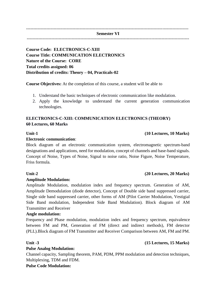---------------------------------------------------------------------------------------------------------------- **Semester VI** ----------------------------------------------------------------------------------------------------------------

# **Course Code: ELECTRONICS-C-XIII Course Title: COMMUNICATION ELECTRONICS Nature of the Course: CORE Total credits assigned: 06 Distribution of credits: Theory – 04, Practicals-02**

**Course Objectives:** At the completion of this course, a student will be able to

- 1. Understand the basic techniques of electronic communication like modulation.
- 2. Apply the knowledge to understand the current generation communication technologies.

# **ELECTRONICS-C-XIII: COMMUNICATION ELECTRONICS (THEORY) 60 Lectures, 60 Marks**

## **Electronic communication**:

Block diagram of an electronic communication system, electromagnetic spectrum-band designations and applications, need for modulation, concept of channels and base-band signals. Concept of Noise, Types of Noise, Signal to noise ratio, Noise Figure, Noise Temperature, Friss formula.

## **Amplitude Modulation:**

Amplitude Modulation, modulation index and frequency spectrum. Generation of AM, Amplitude Demodulation (diode detector), Concept of Double side band suppressed carrier, Single side band suppressed carrier, other forms of AM (Pilot Carrier Modulation, Vestigial Side Band modulation, Independent Side Band Modulation). Block diagram of AM Transmitter and Receiver

## **Angle modulation:**

Frequency and Phase modulation, modulation index and frequency spectrum, equivalence between FM and PM, Generation of FM (direct and indirect methods), FM detector (PLL).Block diagram of FM Transmitter and Receiver Comparison between AM, FM and PM.

## **Pulse Analog Modulation:**

Channel capacity, Sampling theorem, PAM, PDM, PPM modulation and detection techniques, Multiplexing, TDM and FDM.

## **Pulse Code Modulation:**

## **Unit -3 (15 Lectures, 15 Marks)**

# **Unit-2 (20 Lectures, 20 Marks)**

# **Unit-1 (10 Lectures, 10 Marks)**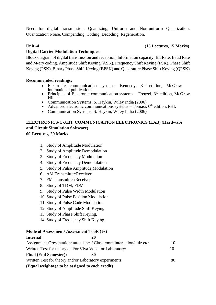Need for digital transmission, Quantizing, Uniform and Non-uniform Quantization, Quantization Noise, Companding, Coding, Decoding, Regeneration.

# **Unit -4 (15 Lectures, 15 Marks)**

# **Digital Carrier Modulation Techniques**:

Block diagram of digital transmission and reception, Information capacity, Bit Rate, Baud Rate and M-ary coding. Amplitude Shift Keying (ASK), Frequency Shift Keying (FSK), Phase Shift Keying (PSK), Binary Phase Shift Keying (BPSK) and Quadrature Phase Shift Keying (QPSK)

# **Recommended readings:**

- Electronic communication systems- Kennedy,  $3<sup>rd</sup>$  edition, McGraw international publications
- Principles of Electronic communication systems Frenzel,  $3<sup>rd</sup>$  edition, McGraw Hill
- Communication Systems, S. Haykin, Wiley India (2006)
- Advanced electronic communications systems  $-$  Tomasi,  $6<sup>th</sup>$  edition, PHI.
- Communication Systems, S. Haykin, Wiley India (2006)

# **ELECTRONICS-C-XIII: COMMUNICATION ELECTRONICS (LAB**) **(Hardware and Circuit Simulation Software) 60 Lectures, 20 Marks**

- - 1. Study of Amplitude Modulation
	- 2. Study of Amplitude Demodulation
	- 3. Study of Frequency Modulation
	- 4. Study of Frequency Demodulation
	- 5. Study of Pulse Amplitude Modulation
	- 6. AM Transmitter/Receiver
	- 7. FM Transmitter/Receiver
	- 8. Study of TDM, FDM
	- 9. Study of Pulse Width Modulation
	- 10. Study of Pulse Position Modulation
	- 11. Study of Pulse Code Modulation
	- 12. Study of Amplitude Shift Keying
	- 13. Study of Phase Shift Keying,
	- 14. Study of Frequency Shift Keying.

# **Mode of Assessment/ Assessment Tools (%)**

# **Internal: 20** Assignment /Presentation/ attendance/ Class room interaction/quiz etc: 10 Written Test for theory and/or Viva Voce for Laboratory: 10 **Final (End Semester): 80** Written Test for theory and/or Laboratory experiments:  $80$ **(Equal weightage to be assigned to each credit)**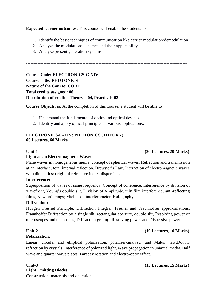**Expected learner outcomes:** This course will enable the students to

1. Identify the basic techniques of communication like carrier modulation/demodulation.

---------------------------------------------------------------------------------------------------------------

- 2. Analyze the modulations schemes and their applicability.
- 3. Analyze present generation systems.

**Course Code: ELECTRONICS-C-XIV Course Title: PHOTONICS Nature of the Course: CORE Total credits assigned: 06 Distribution of credits: Theory – 04, Practicals-02**

**Course Objectives**: At the completion of this course, a student will be able to

- 1. Understand the fundamental of optics and optical devices.
- 2. Identify and apply optical principles in various applications.

## **ELECTRONICS-C-XIV: PHOTONICS (THEORY) 60 Lectures, 60 Marks**

## **Unit-1 (20 Lectures, 20 Marks)**

## **Light as an Electromagnetic Wave:**

Plane waves in homogeneous media, concept of spherical waves. Reflection and transmission at an interface, total internal reflection, Brewster's Law. Interaction of electromagnetic waves with dielectrics: origin of refractive index, dispersion.

## **Interference:**

Superposition of waves of same frequency, Concept of coherence, Interference by division of wavefront, Young's double slit, Division of Amplitude, thin film interference, anti-reflecting films, Newton's rings; Michelson interferometer. Holography.

## **Diffraction:**

Huygen Fresnel Principle, Diffraction Integral, Fresnel and Fraunhoffer approximations. Fraunhoffer Diffraction by a single slit, rectangular aperture, double slit, Resolving power of microscopes and telescopes; Diffraction grating: Resolving power and Dispersive power

## **Polarization:**

Linear, circular and elliptical polarization, polarizer-analyzer and Malus' law;Double refraction by crystals, Interference of polarized light, Wave propagation in uniaxial media. Half wave and quarter wave plates. Faraday rotation and electro-optic effect.

# **Light Emitting Diodes**:

Construction, materials and operation.

## **Unit-2 (10 Lectures, 10 Marks)**

**Unit-3 (15 Lectures, 15 Marks)**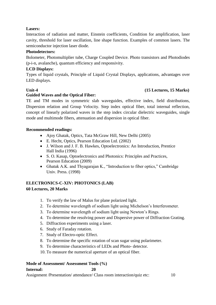# **Lasers:**

Interaction of radiation and matter, Einstein coefficients, Condition for amplification, laser cavity, threshold for laser oscillation, line shape function. Examples of common lasers. The semiconductor injection laser diode.

# **Photodetectors:**

Bolometer, Photomultiplier tube, Charge Coupled Device. Photo transistors and Photodiodes (p-i-n, avalanche), quantum efficiency and responsivity.

# **LCD Displays:**

Types of liquid crystals, Principle of Liquid Crystal Displays, applications, advantages over LED displays.

# **Unit-4 (15 Lectures, 15 Marks)**

# **Guided Waves and the Optical Fiber:**

TE and TM modes in symmetric slab waveguides, effective index, field distributions, Dispersion relation and Group Velocity. Step index optical fiber, total internal reflection, concept of linearly polarized waves in the step index circular dielectric waveguides, single mode and multimode fibers, attenuation and dispersion in optical fiber.

# **Recommended readings:**

- Ajoy Ghatak, Optics, Tata McGraw Hill, New Delhi (2005)
- E. Hecht, Optics, Pearson Education Ltd. (2002)
- J. Wilson and J. F. B. Hawkes, Optoelectronics: An Introduction, Prentice Hall India (1996)
- S. O. Kasap, Optoelectronics and Photonics: Principles and Practices, Pearson Education (2009)
- Ghatak A.K. and Thyagarajan K., "Introduction to fiber optics," Cambridge Univ. Press. (1998)

# **ELECTRONICS-C-XIV: PHOTONICS (LAB) 60 Lectures, 20 Marks**

- 1. To verify the law of Malus for plane polarized light.
- 2. To determine wavelength of sodium light using Michelson's Interferometer.
- 3. To determine wavelength of sodium light using Newton's Rings.
- 4. To determine the resolving power and Dispersive power of Diffraction Grating.
- 5. Diffraction experiments using a laser.
- 6. Study of Faraday rotation.
- 7. Study of Electro-optic Effect.
- 8. To determine the specific rotation of scan sugar using polarimeter.
- 9. To determine characteristics of LEDs and Photo- detector.
- 10. To measure the numerical aperture of an optical fiber.

## **Mode of Assessment/ Assessment Tools (%) Internal: 20**

Assignment /Presentation/ attendance/ Class room interaction/quiz etc: 10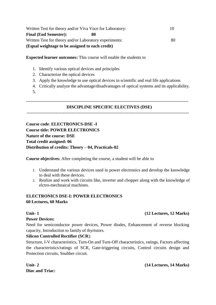| Written Test for theory and/or Viva Voce for Laboratory: |    |
|----------------------------------------------------------|----|
| <b>Final (End Semester):</b><br>80                       |    |
| Written Test for theory and/or Laboratory experiments:   | 80 |
| (Equal weightage to be assigned to each credit)          |    |

**Expected learner outcomes:** This course will enable the students to

- 1. Identify various optical devices and principles
- 2. Characterize the optical devices
- 3. Apply the knowledge to use optical devices in scientific and real life applications
- 4. Critically analyze the advantage/disadvantages of optical systems and its applicability.
- 5.

## ---------------------------------------------------------------------------------------------------------------- **DISCIPLINE SPECIFIC ELECTIVES (DSE)**

----------------------------------------------------------------------------------------------------------------

**Course code**: **ELECTRONICS-DSE -I Course title: POWER ELECTRONICS Nature of the course: DSE Total credit assigned: 06 Distribution of credits: Theory – 04, Practicals-02**

**Course objectives:** After completing the course, a student will be able to

- 1. Understand the various devices used in power electronics and develop the knowledge to deal with these devices.
- 2. Realize and work with circuits like, inverter and chopper along with the knowledge of elctro-mechnaical machines.

# **ELECTRONICS DSE-I: POWER ELECTRONICS 60 Lectures, 60 Marks**

## **Unit- 1 (12 Lectures, 12 Marks)**

## **Power Devices:**

Need for semiconductor power devices, Power diodes, Enhancement of reverse blocking capacity, Introduction to family of thyristors.

## **Silicon Controlled Rectifier (SCR**):

Structure, I-V characteristics, Turn-On and Turn-Off characteristics, ratings, Factors affecting the characteristics/ratings of SCR, Gate-triggering circuits, Control circuits design and Protection circuits, Snubber circuit.

**Diac and Triac:** 

## **Unit- 2 (14 Lectures, 14 Marks)**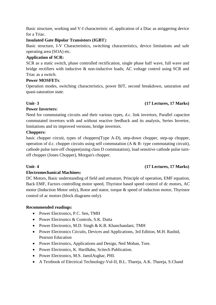Basic structure, working and V-I characteristic of, application of a Diac as atriggering device for a Triac.

## **Insulated Gate Bipolar Transistors (IGBT**):

Basic structure, I-V Characteristics, switching characteristics, device limitations and safe operating area (SOA) etc.

# **Application of SCR:**

SCR as a static switch, phase controlled rectification, single phase half wave, full wave and bridge rectifiers with inductive & non-inductive loads; AC voltage control using SCR and Triac as a switch.

## **Power MOSFETs**:

Operation modes, switching characteristics, power BJT, second breakdown, saturation and quasi-saturation state.

## **Unit- 3 (17 Lectures, 17 Marks)**

# **Power Inverters:**

Need for commutating circuits and their various types, d.c. link invertors, Parallel capacitor commutated invertors with and without reactive feedback and its analysis, Series Invertor, limitations and its improved versions, bridge invertors.

## **Choppers:**

basic chopper circuit, types of choppers(Type A-D), step-down chopper, step-up chopper, operation of d.c. chopper circuits using self commutation (A & B- type commutating circuit), cathode pulse turn-off chopper(using class D commutation), load sensitive cathode pulse turnoff chopper (Jones Chopper), Morgan's chopper.

## **Unit- 4 (17 Lectures, 17 Marks)**

# **Electromechanical Machines:**

DC Motors, Basic understanding of field and armature, Principle of operation, EMF equation, Back EMF, Factors controlling motor speed, Thyristor based speed control of dc motors, AC motor (Induction Motor only), Rotor and stator, torque & speed of induction motor, Thyristor control of ac motors (block diagrams only).

# **Recommended readings:**

- Power Electronics, P.C. Sen, TMH
- Power Electronics & Controls, S.K. Dutta
- Power Electronics, M.D. Singh & K.B. Khanchandani, TMH
- Power Electronics Circuits, Devices and Applications, 3rd Edition, M.H. Rashid, Pearson Education
- Power Electronics, Applications and Design, Ned Mohan, Tore.
- Power Electronics, K. HariBabu, Scitech Publication.
- Power Electronics, M.S. JamilAsghar, PHI.
- A Textbook of Electrical Technology-Vol-II, B.L. Thareja, A.K. Thareja, S.Chand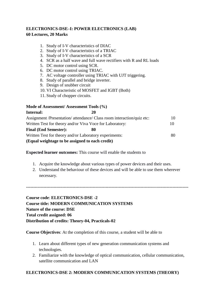# **ELECTRONICS-DSE–I: POWER ELECTRONICS (LAB) 60 Lectures, 20 Marks**

- 1. Study of I-V characteristics of DIAC
- 2. Study of I-V characteristics of a TRIAC
- 3. Study of I-V characteristics of a SCR
- 4. SCR as a half wave and full wave rectifiers with R and RL loads
- 5. DC motor control using SCR.
- 6. DC motor control using TRIAC.
- 7. AC voltage controller using TRIAC with UJT triggering.
- 8. Study of parallel and bridge inverter.
- 9. Design of snubber circuit
- 10. VI Characteristic of MOSFET and IGBT (Both)
- 11. Study of chopper circuits.

## **Mode of Assessment/ Assessment Tools (%)**

| Internal:                                                              | 20 |    |
|------------------------------------------------------------------------|----|----|
| Assignment /Presentation/ attendance/ Class room interaction/quiz etc: |    | 10 |
| Written Test for theory and/or Viva Voce for Laboratory:               |    | 10 |
| <b>Final (End Semester):</b>                                           | 80 |    |
| Written Test for theory and/or Laboratory experiments:                 |    | 80 |
| (Equal weightage to be assigned to each credit)                        |    |    |

**Expected learner outcomes:** This course will enable the students to

- 1. Acquire the knowledge about various types of power devices and their uses.
- 2. Understand the behaviour of these devices and will be able to use them wherever necessary.

**----------------------------------------------------------------------------------------------------------------**

**Course code**: **ELECTRONICS-DSE -2 Course title: MODERN COMMUNICATION SYSTEMS Nature of the course: DSE Total credit assigned: 06 Distribution of credits: Theory-04, Practicals-02**

**Course Objectives**: At the completion of this course, a student will be able to

- 1. Learn about different types of new generation communication systems and technologies.
- 2. Familiarize with the knowledge of optical communication, cellular communication, satellite communication and LAN

# **ELECTRONICS-DSE 2: MODERN COMMUNICATION SYSTEMS (THEORY)**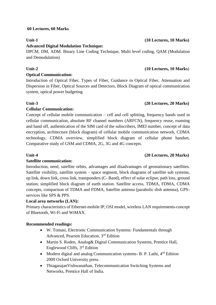## **60 Lectures, 60 Marks**

## **Advanced Digital Modulation Technique:**

DPCM, DM, ADM. Binary Line Coding Technique, Multi level coding, QAM (Modulation and Demodulation)

# **Unit-2 (10 Lectures, 10 Marks**)

## **Optical Communication:**

Introduction of Optical Fiber, Types of Fiber, Guidance in Optical Fiber, Attenuation and Dispersion in Fiber, Optical Sources and Detectors, Block Diagram of optical communication system, optical power budgeting

## **Unit-3 (20 Lectures, 20 Marks)**

# **Cellular Communication:**

Concept of cellular mobile communication – cell and cell splitting, frequency bands used in cellular communication, absolute RF channel numbers (ARFCN), frequency reuse, roaming and hand off, authentication of the SIM card of the subscribers, IMEI number, concept of data encryption, architecture (block diagram) of cellular mobile communication network, CDMA technology, CDMA overview, simplified block diagram of cellular phone handset, Comparative study of GSM and CDMA, 2G, 3G and 4G concepts.

# **Unit-4 (20 Lectures, 20 Marks)**

# **Satellite communication:**

Introduction, need, satellite orbits, advantages and disadvantages of geostationary satellites. Satellite visibility, satellite system – space segment, block diagrams of satellite sub systems, up link, down link, cross link, transponders (C- Band), effect of solar eclipse, path loss, ground station, simplified block diagram of earth station. Satellite access, TDMA, FDMA, CDMA concepts, comparison of TDMA and FDMA, Satellite antenna (parabolic dish antenna), GPSservices like SPS & PPS.

# **Local area networks (LAN):**

Primary characteristics of Ethernet-mobile IP, OSI model, wireless LAN requirements-concept of Bluetooth, Wi-Fi and WiMAX.

## **Recommended readings:**

- W. Tomasi, Electronic Communication Systems: Fundamentals through Advanced, Pearson Education, 3rd Edition
- Martin S. Roden, Analog& Digital Communication Systems, Prentice Hall, Englewood Cliffs, 3rd Edition
- Modern digital and analog Communication systems- B. P. Lathi,  $4^{rd}$  Edition 2009 Oxford University press.
- ThiagarajanVishwanathan, Telecommunication Switching Systems and Networks, Prentice Hall of India.

## **Unit-1 (10 Lectures, 10 Marks)**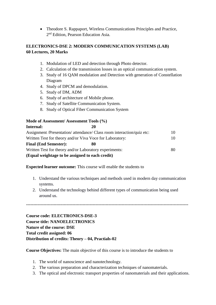Theodore S. Rappaport, Wireless Communications Principles and Practice, 2<sup>nd</sup> Edition, Pearson Education Asia.

# **ELECTRONICS-DSE 2: MODERN COMMUNICATION SYSTEMS (LAB) 60 Lectures, 20 Marks**

- 1. Modulation of LED and detection through Photo detector.
- 2. Calculation of the transmission losses in an optical communication system.
- 3. Study of 16 QAM modulation and Detection with generation of Constellation Diagram
- 4. Study of DPCM and demodulation.
- 5. Study of DM, ADM
- 6. Study of architecture of Mobile phone.
- 7. Study of Satellite Communication System.
- 8. Study of Optical Fiber Communication System

## **Mode of Assessment/ Assessment Tools (%)**

| Internal:                                                | 20                                                                     |    |
|----------------------------------------------------------|------------------------------------------------------------------------|----|
|                                                          | Assignment /Presentation/ attendance/ Class room interaction/quiz etc: | 10 |
| Written Test for theory and/or Viva Voce for Laboratory: |                                                                        | 10 |
| <b>Final (End Semester):</b>                             | 80                                                                     |    |
| Written Test for theory and/or Laboratory experiments:   |                                                                        | 80 |
| (Equal weightage to be assigned to each credit)          |                                                                        |    |

**Expected learner outcome:** This course will enable the students to

- 1. Understand the various techniques and methods used in modern day communication systems.
- 2. Understand the technology behind different types of communication being used around us.

**----------------------------------------------------------------------------------------------------------------**

**Course code: ELECTRONICS-DSE-3 Course title: NANOELECTRONICS Nature of the course: DSE Total credit assigned: 06 Distribution of credits: Theory – 04, Practials-02**

**Course Objectives:** The main objective of this course is to introduce the students to

- 1. The world of nanoscience and nanotechnology.
- 2. The various preparation and characterization techniques of nanomaterials.
- 3. The optical and electronic transport properties of nanomaterials and their applications.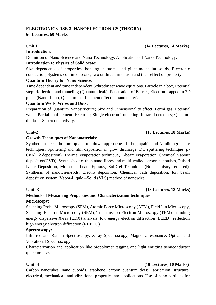# **ELECTRONICS-DSE-3: NANOELECTRONICS (THEORY)**

# **60 Lectures, 60 Marks**

## **Unit 1 (14 Lectures, 14 Marks)**

# **Introduction**:

Definition of Nano-Science and Nano Technology, Applications of Nano-Technology.

# **Introduction to Physics of Solid State:**

Size dependence of properties, bonding in atoms and giant molecular solids, Electronic conduction, Systems confined to one, two or three dimension and their effect on property

## **Quantum Theory for Nano Science:**

Time dependent and time independent Schrodinger wave equations. Particle in a box, Potential step: Reflection and tunneling (Quantum leak). Penetration of Barrier, Electron trapped in 2D plane (Nano sheet), Quantum confinement effect in nano materials.

## **Quantum Wells, Wires and Dots:**

Preparation of Quantum Nanostructure; Size and Dimensionality effect, Fermi gas; Potential wells; Partial confinement; Excitons; Single electron Tunneling, Infrared detectors; Quantum dot laser Superconductivity.

# **Unit-2 (18 Lectures, 18 Marks)**

# **Growth Techniques of Nanomaterials**:

Synthetic aspects: bottom up and top down approaches, Lithograpahic and Nonlithograpahic techniques, Sputtering and film deposition in glow discharge, DC sputtering technique (p-CuAlO2 deposition). Thermal evaporation technique, E-beam evaporation, Chemical Vapour deposition(CVD), Synthesis of carbon nano-fibres and multi-walled carbon nanotubes, Pulsed Laser Deposition, Molecular beam Epitaxy, Sol-Gel Technique (No chemistry required), Synthesis of nanowires/rods, Electro deposition, Chemical bath deposition, Ion beam deposition system, Vapor-Liquid –Solid (VLS) method of nanowire

# **Unit -3 (18 Lectures, 18 Marks)**

# **Methods of Measuring Properties and Characterization techniques: Microscopy:**

Scanning Probe Microscopy (SPM), Atomic Force Microscopy (AFM), Field Ion Microscopy, Scanning Electron Microscopy (SEM), Transmission Electron Microscopy (TEM) including energy dispersive X-ray (EDX) analysis, low energy electron diffraction (LEED), reflection high energy electron diffraction (RHEED)

## **Spectroscopy:**

Infra-red and Raman Spectroscopy, X-ray Spectroscopy, Magnetic resonance, Optical and Vibrational Spectroscopy

Characterization and application like biopolymer tagging and light emitting semiconductor quantum dots.

# **Unit- 4 (10 Lectures, 10 Marks)**

Carbon nanotubes, nano cuboids, graphene, carbon quantum dots: Fabrication, structure. electrical, mechanical, and vibrational properties and applications. Use of nano particles for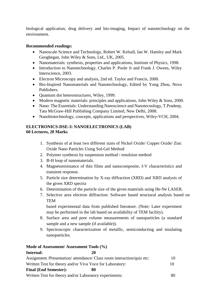biological application, drug delivery and bio-imaging, Impact of nanotechnology on the environment.

## **Recommended readings:**

- Nanoscale Science and Technology, Robert W. Kelsall, Ian W. Hamley and Mark Geoghegan, John Wiley & Sons, Ltd., UK, 2005.
- Nanomaterials: synthesis, properties and applications, Institute of Physics, 1998.
- Introduction to Nanotechnology, Charles P. Poole Jr and Frank J. Owens, Wiley Interscience, 2003.
- Electron Microscopy and analysis, 2nd ed. Taylor and Francis, 2000.
- Bio-Inspired Nanomaterials and Nanotechnology, Edited by Yong Zhou, Nova Publishers.
- Ouantum dot heterostructures, Wiley, 1999.
- Modern magnetic materials: principles and applications, John Wiley  $& Sons, 2000$ .
- Nano: The Essentials: Understanding Nanoscience and Nanotecnology, T.Pradeep, Tata McGraw-Hill Publishing Company Limited, New Delhi, 2008.
- Nanobiotechnology, concepts, applications and perspectives, Wiley-VCH, 2004.

## **ELECTRONICS-DSE-3: NANOELECTRONICS (LAB) 60 Lectures, 20 Marks**

- 1. Synthesis of at least two different sizes of Nickel Oxide/ Copper Oxide/ Zinc Oxide Nano Particles Using Sol-Gel Method
- 2. Polymer synthesis by suspension method / emulsion method
- 3. B-H loop of nanomaterials.
- 4. Magnetoresistance of thin films and nanocomposite, I-V characteristics and transient response.
- 5. Particle size determination by X-ray diffraction (XRD) and XRD analysis of the given XRD spectra
- 6. Determination of the particle size of the given materials using He-Ne LASER.
- 7. Selective area electron diffraction: Software based structural analysis based on **TEM**

based experimental data from published literature. (Note: Later experiment may be performed in the lab based on availability of TEM facility).

- 8. Surface area and pore volume measurements of nanoparticles (a standard sample and a new sample (if available)).
- 9. Spectroscopic characterization of metallic, semiconducting and insulating nanoparticles.

# **Mode of Assessment/ Assessment Tools (%)**

# **Internal: 20** Assignment /Presentation/ attendance/ Class room interaction/quiz etc: 10 Written Test for theory and/or Viva Voce for Laboratory: 10 **Final (End Semester): 80** Written Test for theory and/or Laboratory experiments: 80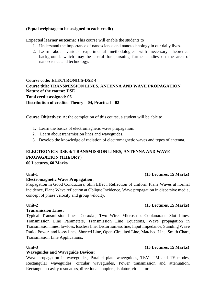## **(Equal weightage to be assigned to each credit)**

## **Expected learner outcome:** This course will enable the students to

- 1. Understand the importance of nanoscience and nanotechnology in our daily lives.
- 2. Learn about various experimental methodologies with necessary theoretical background, which may be useful for pursuing further studies on the area of nanoscience and technology.

----------------------------------------------------------------------------------------------------------------

**Course code: ELECTRONICS-DSE 4 Course title: TRANSMISSION LINES, ANTENNA AND WAVE PROPAGATION Nature of the course: DSE Total credit assigned: 06 Distribution of credits: Theory – 04, Practical --02**

**Course Objectives:** At the completion of this course, a student will be able to

- 1. Learn the basics of electromagnetic wave propagation.
- 2. Learn about transmission lines and waveguides.
- 3. Develop the knowledge of radiation of electromagnetic waves and types of antenna.

## **ELECTRONICS-DSE 4: TRANSMISSION LINES, ANTENNA AND WAVE PROPAGATION (THEORY) 60 Lectures, 60 Marks**

## **Electromagnetic Wave Propagation:**

Propagation in Good Conductors, Skin Effect, Reflection of uniform Plane Waves at normal incidence, Plane Wave reflection at Oblique Incidence, Wave propagation in dispersive media, concept of phase velocity and group velocity.

## **Unit-2 (15 Lectures, 15 Marks)**

## **Transmission Lines:**

Typical Transmission lines- Co-axial, Two Wire, Microstrip, Coplanarand Slot Lines, Transmission Line Parameters, Transmission Line Equations, Wave propagation in Transmission lines, lowloss, lossless line, Distortionless line, Input Impedance, Standing Wave Ratio ,Power. and lossy lines, Shorted Line, Open-Circuited Line, Matched Line, Smith Chart, Transmission Line Applications.

## **Waveguides and Waveguide Devices**:

Wave propagation in waveguides, Parallel plate waveguides, TEM, TM and TE modes, Rectangular waveguides, circular waveguides, Power transmission and attenuation, Rectangular cavity resonators, directional couplers, isolator, circulator.

## **Unit-1 (15 Lectures, 15 Marks)**

## **Unit-3 (15 Lectures, 15 Marks)**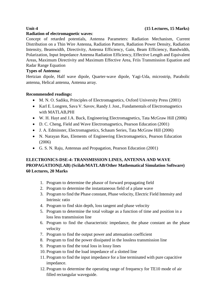## **Radiation of electromagnetic waves**:

Concept of retarded potentials, Antenna Parameters: Radiation Mechanism, Current Distribution on a Thin Wire Antenna, Radiation Pattern, Radiation Power Density, Radiation Intensity, Beamwidth, Directivity, Antenna Efficiency, Gain, Beam Efficiency, Bandwidth, Polarization, Input Impedance Antenna Radiation Efficiency, Effective Length and Equivalent Areas, Maximum Directivity and Maximum Effective Area, Friis Transmission Equation and Radar Range Equation

## **Types of Antenna:**

Hertzian dipole, Half wave dipole, Quarter-wave dipole, Yagi-Uda, microstrip, Parabolic antenna, Helical antenna, Antenna array.

## **Recommended readings:**

- M. N. O. Sadiku, Principles of Electromagnetics, Oxford University Press (2001)
- Karl E. Longren, Sava V. Savov, Randy J. Jost., Fundamentals of Electromagnetics with MATLAB,PHI
- W. H. Hayt and J.A. Buck, Engineering Electromagnetics, Tata McGraw Hill (2006)
- D. C. Cheng, Field and Wave Electromagnetics, Pearson Education (2001)
- J. A. Edminster, Electromagnetics, Schaum Series, Tata McGraw Hill (2006)
- N. Narayan Rao, Elements of Engineering Electromagnetics, Pearson Education (2006)
- G. S. N. Raju, Antennas and Propagation, Pearson Education (2001)

# **ELECTRONICS-DSE-4: TRANSMISSION LINES, ANTENNA AND WAVE PROPAGATION(LAB) (Scilab/MATLAB/Other Mathematical Simulation Software) 60 Lectures, 20 Marks**

- 1. Program to determine the phasor of forward propagating field
- 2. Program to determine the instantaneous field of a plane wave
- 3. Program to find the Phase constant, Phase velocity, Electric Field Intensity and Intrinsic ratio
- 4. Program to find skin depth, loss tangent and phase velocity
- 5. Program to determine the total voltage as a function of time and position in a loss less transmission line
- 6. Program to find the characteristic impedance, the phase constant an the phase velocity
- 7. Program to find the output power and attenuation coefficient
- 8. Program to find the power dissipated in the lossless transmission line
- 9. Program to find the total loss in lossy lines
- 10. Program to find the load impedance of a slotted line
- 11. Program to find the input impedance for a line terminated with pure capacitive impedance.
- 12. Program to determine the operating range of frequency for TE10 mode of air filled rectangular waveguide.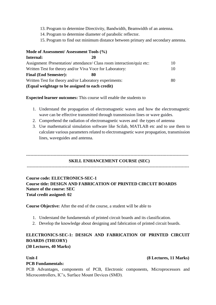- 13. Program to determine Directivity, Bandwidth, Beamwidth of an antenna.
- 14. Program to determine diameter of parabolic reflector.
- 15. Program to find out minimum distance between primary and secondary antenna.

| Mode of Assessment/Assessment Tools (%)                  |                                                                        |    |
|----------------------------------------------------------|------------------------------------------------------------------------|----|
| Internal:                                                | 20                                                                     |    |
|                                                          | Assignment /Presentation/ attendance/ Class room interaction/quiz etc: | 10 |
| Written Test for theory and/or Viva Voce for Laboratory: |                                                                        | 10 |
| <b>Final (End Semester):</b>                             |                                                                        |    |
| Written Test for theory and/or Laboratory experiments:   |                                                                        | 80 |
| (Equal weightage to be assigned to each credit)          |                                                                        |    |

**Expected learner outcomes:** This course will enable the students to

- 1. Understand the propagation of electromagnetic waves and how the electromagnetic wave can be effective transmitted through transmission lines or wave guides.
- 2. Comprehend the radiation of electromagnetic waves and the types of antenna
- 3. Use mathematical simulation software like Scilab, MATLAB etc and to use them to calculate various parameters related to electromagnetic wave propagation, transmission lines, waveguides and antenna.

## **SKILL ENHANCEMENT COURSE (SEC)**

----------------------------------------------------------------------------------------------------------------

----------------------------------------------------------------------------------------------------------------

# **Course code: ELECTRONICS-SEC-1 Course title: DESIGN AND FABRICATION OF PRINTED CIRCUIT BOARDS Nature of the course: SEC Total credit assigned: 02**

**Course Objective:** After the end of the course, a student will be able to

- 1. Understand the fundamentals of printed circuit boards and its classification.
- 2. Develop the knowledge about designing and fabrication of printed circuit boards.

# **ELECTRONICS-SEC-1: DESIGN AND FABRICATION OF PRINTED CIRCUIT BOARDS (THEORY)**

**(30 Lectures, 40 Marks)**

## **Unit-I (8 Lectures, 11 Marks)**

## **PCB Fundamentals:**

PCB Advantages, components of PCB, Electronic components, Microprocessors and Microcontrollers, IC's, Surface Mount Devices (SMD).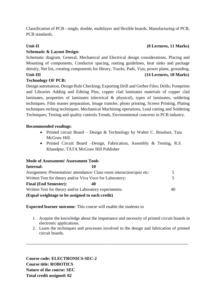# **Schematic & Layout Design:**

Schematic diagram, General, Mechanical and Electrical design considerations, Placing and Mounting of components, Conductor spacing, routing guidelines, heat sinks and package density, Net list, creating components for library, Tracks, Pads, Vias, power plane, grounding. **Unit-III (14 Lectures, 18 Marks)**

## **Technology OF PCB:**

Design automation, Design Rule Checking; Exporting Drill and Gerber Files; Drills; Footprints and Libraries Adding and Editing Pins, copper clad laminates materials of copper clad laminates, properties of laminates (electrical & physical), types of laminates, soldering techniques. Film master preparation, Image transfer, photo printing, Screen Printing, Plating techniques etching techniques, Mechanical Machining operations, Lead cutting and Soldering Techniques, Testing and quality controls.Trends, Environmental concerns in PCB industry.

## **Recommended readings**:

- Printed circuit Board Design & Technology by Walter C. Bosshart, Tata McGraw Hill.
- Printed Circuit Board –Design, Fabrication, Assembly & Testing, R.S. Khandpur, TATA McGraw Hill Publisher

## **Mode of Assessment/ Assessment Tools**

| Internal:                                                | 10                                                                     |    |
|----------------------------------------------------------|------------------------------------------------------------------------|----|
|                                                          | Assignment /Presentation/ attendance/ Class room interaction/quiz etc: |    |
| Written Test for theory and/or Viva Voce for Laboratory: |                                                                        |    |
| <b>Final (End Semester):</b>                             | 40                                                                     |    |
| Written Test for theory and/or Laboratory experiments:   |                                                                        | 40 |
| (Equal weightage to be assigned to each credit)          |                                                                        |    |

**Expected learner outcome**: This course will enable the students to

- 1. Acquire the knowledge about the importance and necessity of printed circuit boards in electronic applications.
- 2. Learn the techniques and processes involved in the design and fabrication of printed circuit boards.

----------------------------------------------------------------------------------------------------------------

**Course code: ELECTRONICS-SEC-2 Course title: ROBOTICS Nature of the course: SEC Total credit assigned: 02**

## **Unit-II (8 Lectures, 11 Marks)**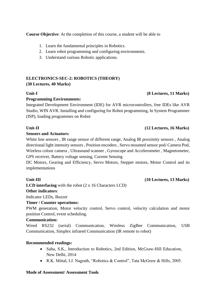**Course Objective**: At the completion of this course, a student will be able to

- 1. Learn the fundamental principles in Robotics.
- 2. Learn robot programming and configuring environments.
- 3. Understand various Robotic applications.

# **ELECTRONICS-SEC-2: ROBOTICS (THEORY) (30 Lectures, 40 Marks)**

# **Unit-I (8 Lectures, 11 Marks)**

## **Programming Environments:**

Integrated Development Environment (IDE) for AVR microcontrollers, free IDEs like AVR Studio, WIN AVR. Installing and configuring for Robot programming, In System Programmer (ISP), loading programmes on Robot

## **Unit-II (12 Lectures, 16 Marks)**

## **Sensors and Actuators:**

White line sensors , IR range sensor of different range, Analog IR proximity sensors , Analog directional light intensity sensors , Position encoders , Servo mounted sensor pod/ Camera Pod, Wireless colour camera , Ultrasound scanner , Gyroscope and Accelerometer , Magnetometer, GPS receiver, Battery voltage sensing, Current Sensing

DC Motors, Gearing and Efficiency, Servo Motors, Stepper motors, Motor Control and its implementations

**LCD interfacing** with the robot (2 x 16 Characters LCD)

## **Other indicators**:

Indicator LEDs, Buzzer

## **Timer / Counter operations:**

PWM generation, Motor velocity control, Servo control, velocity calculation and motor position Control, event scheduling.

## **Communication:**

Wired RS232 (serial) Communication, Wireless ZigBee Communication, USB Communication, Simplex infrared Communication (IR remote to robot)

## **Recommended readings:**

- Saha, S.K., Introduction to Robotics, 2nd Edition, McGraw-Hill Education, New Delhi, 2014
- R.K. Mittal, I.J. Nagrath, "Robotics & Control", Tata McGraw & Hills, 2005.

## **Mode of Assessment/ Assessment Tools**

## Unit-III (10 Lectures, 13 Marks)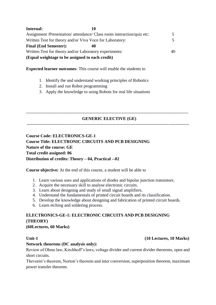| Internal:                                                | 10                                                                     |    |
|----------------------------------------------------------|------------------------------------------------------------------------|----|
|                                                          | Assignment /Presentation/ attendance/ Class room interaction/quiz etc: | 5. |
| Written Test for theory and/or Viva Voce for Laboratory: |                                                                        | 5. |
| <b>Final (End Semester):</b>                             |                                                                        |    |
| Written Test for theory and/or Laboratory experiments:   |                                                                        | 40 |
| (Equal weightage to be assigned to each credit)          |                                                                        |    |

**Expected learner outcomes**: This course will enable the students to

- 1. Identify the and understand working principles of Robotics
- 2. Install and run Robot programming
- 3. Apply the knowledge to using Robots for real life situations

----------------------------------------------------------------------------------------------------------------

## **GENERIC ELECTIVE (GE)**

----------------------------------------------------------------------------------------------------------------

**Course Code: ELECTRONICS-GE-1 Course Title: ELECTRONIC CIRCUITS AND PCB DESIGNING Nature of the course: GE Total credit assigned: 06 Distribution of credits: Theory – 04, Practical --02**

**Course objective:** At the end of this course, a student will be able to

- 1. Learn various uses and applications of diodes and bipolar junction transistors.
- 2. Acquire the necessary skill to analyse electronic circuits.
- 3. Learn about designing and study of small signal amplifiers.
- 4. Understand the fundamentals of printed circuit boards and its classification.
- 5. Develop the knowledge about designing and fabrication of printed circuit boards.
- 6. Learn etching and soldering process.

# **ELECTRONICS-GE-1: ELECTRONIC CIRCUITS AND PCB DESIGNING (THEORY) (60Lectures, 60 Marks)**

## **Unit-1 (10 Lectures, 10 Marks)**

## **Network theorems (DC analysis only):**

Review of Ohms law, Kirchhoff's laws, voltage divider and current divider theorems, open and short circuits.

Thevenin's theorem, Norton's theorem and inter conversion, superposition theorem, maximum power transfer theorem.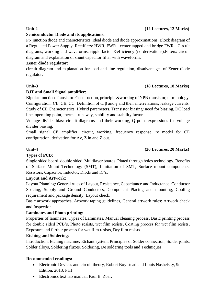## **Unit 2 (12 Lectures, 12 Marks)**

## **Semiconductor Diode and its applications:**

PN junction diode and characteristics *,*ideal diode and diode approximations. Block diagram of a Regulated Power Supply, Rectifiers: HWR, FWR - center tapped and bridge FWRs. Circuit diagrams, working and waveforms, ripple factor &efficiency (no derivations).Filters: circuit diagram and explanation of shunt capacitor filter with waveforms.

# **Zener diode regulator:**

circuit diagram and explanation for load and line regulation, disadvantages of Zener diode regulator.

## **Unit-3 (18 Lectures, 18 Marks)**

# **BJT and Small Signal amplifier:**

Bipolar Junction Transistor: Construction, principle &working of NPN transistor, terminology. Configuration: CE, CB, CC. Definition of  $\alpha$ ,  $\beta$  and  $\gamma$  and their interrelations, leakage currents. Study of CE Characteristics, Hybrid parameters. Transistor biasing: need for biasing, DC load line, operating point, thermal runaway, stability and stability factor.

Voltage divider bias: circuit diagrams and their working, Q point expressions for voltage divider biasing.

Small signal CE amplifier: circuit, working, frequency response, re model for CE configuration, derivation for Av, Z in and Z out.

## **Unit-4 (20 Lectures, 20 Marks)**

# **Types of PCB:**

Single sided board, double sided, Multilayer boards, Plated through holes technology, Benefits of Surface Mount Technology (SMT), Limitation of SMT, Surface mount components: Resistors, Capacitor, Inductor, Diode and IC's.

# **Layout and Artwork:**

Layout Planning: General rules of Layout, Resistance, Capacitance and Inductance, Conductor Spacing, Supply and Ground Conductors, Component Placing and mounting, Cooling requirement and package density, Layout check.

Basic artwork approaches, Artwork taping guidelines, General artwork rules: Artwork check and Inspection.

# **Laminates and Photo printing:**

Properties of laminates, Types of Laminates, Manual cleaning process, Basic printing process for double sided PCB's, Photo resists, wet film resists, Coating process for wet film resists, Exposure and further process for wet film resists, Dry film resists

# **Etching and Soldering**:

Introduction, Etching machine, Etchant system. Principles of Solder connection, Solder joints, Solder alloys, Soldering fluxes. Soldering, De soldering tools and Techniques.

# **Recommended readings:**

- Electronic Devices and circuit theory, Robert Boylstead and Louis Nashelsky, 9th Edition, 2013, PHI
- Electronics text lab manual, Paul B. Zbar.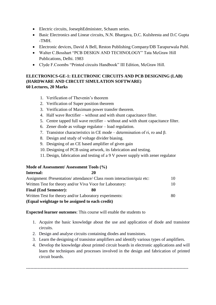- Electric circuits, JoesephEdminister, Schaum series.
- Basic Electronics and Linear circuits, N.N. Bhargava, D.C. Kulshresta and D.C Gupta -TMH.
- Electronic devices, David A Bell, Reston Publishing Company/DB Tarapurwala Publ.
- Walter C.Bosshart "PCB DESIGN AND TECHNOLOGY" Tata McGraw Hill Publications, Delhi. 1983
- Clyde F.Coombs "Printed circuits Handbook" III Edition, McGraw Hill.

## **ELECTRONICS-GE-1: ELECTRONIC CIRCUITS AND PCB DESIGNING (LAB) (HARDWARE AND CIRCUIT SIMULATION SOFTWARE) 60 Lectures, 20 Marks**

- 1. Verification of Thevenin's theorem
- 2. Verification of Super position theorem
- 3. Verification of Maximum power transfer theorem.
- 4. Half wave Rectifier without and with shunt capacitance filter.
- 5. Centre tapped full wave rectifier without and with shunt capacitance filter.
- 6. Zener diode as voltage regulator load regulation.
- 7. Transistor characteristics in CE mode determination of ri, ro and β.
- 8. Design and study of voltage divider biasing.
- 9. Designing of an CE based amplifier of given gain
- 10. Designing of PCB using artwork, its fabrication and testing.
- 11. Design, fabrication and testing of a 9 V power supply with zener regulator

## **Mode of Assessment/ Assessment Tools (%)**

| Internal:                                                | 20                                                                     |    |
|----------------------------------------------------------|------------------------------------------------------------------------|----|
|                                                          | Assignment /Presentation/ attendance/ Class room interaction/quiz etc: | 10 |
| Written Test for theory and/or Viva Voce for Laboratory: |                                                                        |    |
| <b>Final (End Semester):</b>                             | 80                                                                     |    |
| Written Test for theory and/or Laboratory experiments:   |                                                                        | 80 |
| (Equal weightage to be assigned to each credit)          |                                                                        |    |

**Expected learner outcomes**: This course will enable the students to

- 1. Acquire the basic knowledge about the use and application of diode and transistor circuits.
- 2. Design and analyse circuits containing diodes and transistors.
- 3. Learn the designing of transistor amplifiers and identify various types of amplifiers.

----------------------------------------------------------------------------------------------------------------

4. Develop the knowledge about printed circuit boards in electronic applications and will learn the techniques and processes involved in the design and fabrication of printed circuit boards.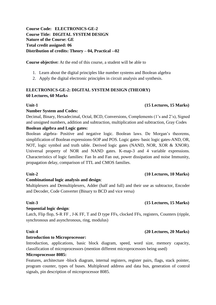# **Course Code: ELECTRONICS-GE-2 Course Title: DIGITAL SYSTEM DESIGN Nature of the Course: GE Total credit assigned: 06 Distribution of credits: Theory – 04, Practical --02**

**Course objective:** At the end of this course, a student will be able to

- 1. Learn about the digital principles like number systems and Boolean algebra
- 2. Apply the digital electronic principles in circuit analysis and synthesis.

# **ELECTRONICS-GE-2: DIGITAL SYSTEM DESIGN (THEORY) 60 Lectures, 60 Marks**

# **Unit-1 (15 Lectures, 15 Marks)**

# **Number System and Codes:**

Decimal, Binary, Hexadecimal, Octal, BCD, Conversions, Complements (1's and 2's), Signed and unsigned numbers, addition and subtraction, multiplication and subtraction, Gray Codes

# **Boolean algebra and Logic gates:**

Boolean algebra- Positive and negative logic. Boolean laws. De Morgan's theorems, simplification of Boolean expressions-SOP and POS. Logic gates- basic logic gates-AND, OR, NOT, logic symbol and truth table. Derived logic gates (NAND, NOR, XOR & XNOR). Universal property of NOR and NAND gates. K-map-3 and 4 variable expressions. Characteristics of logic families: Fan In and Fan out, power dissipation and noise Immunity, propagation delay, comparison of TTL and CMOS families.

# **Combinational logic analysis and design**:

Multiplexers and Demultiplexers, Adder (half and full) and their use as subtractor, Encoder and Decoder, Code Converter (Binary to BCD and vice versa)

# **Unit-3 (15 Lectures, 15 Marks)**

# **Sequential logic design**:

Latch, Flip flop, S-R FF , J-K FF, T and D type FFs, clocked FFs, registers, Counters (ripple, synchronous and asynchronous, ring, modulus)

# **Introduction to Microprocessor:**

Introduction, applications, basic block diagram, speed, word size, memory capacity, classification of microprocessors (mention different microprocessors being used)

# **Microprocessor 8085:**

Features, architecture -block diagram, internal registers, register pairs, flags, stack pointer, program counter, types of buses. Multiplexed address and data bus, generation of control signals, pin description of microprocessor 8085.

# **Unit-2 (10 Lectures, 10 Marks)**

# **Unit-4 (20 Lectures, 20 Marks)**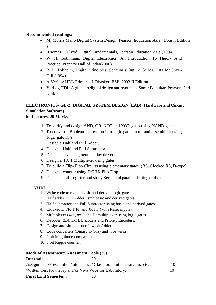## **Recommended readings:**

- M. Morris Mano Digital System Design, Pearson Education Asia, (Fourth Edition )
- Thomas L. Flyod, Digital Fundamentals, Pearson Education Asia (1994)
- W. H. Gothmann, Digital Electronics: An Introduction To Theory And Practice, Prentice Hall of India(2000)
- R. L. Tokheim, Digital Principles, Schaum's Outline Series, Tata McGraw-Hill (1994)
- A Verilog HDL Primer J. Bhasker, BSP, 2003 II Edition.
- Verilog HDL-A guide to digital design and synthesis-Samir Palnitkar, Pearson, 2nd edition.

# **ELECTRONICS- GE-2: DIGITAL SYSTEM DESIGN (LAB) (Hardware and Circuit Simulation Software) 60 Lectures, 20 Marks**

- 1. To verify and design AND, OR, NOT and XOR gates using NAND gates.
- 2. To convert a Boolean expression into logic gate circuit and assemble it using logic gate IC's.
- 3. Design a Half and Full Adder.
- 4. Design a Half and Full Subtractor.
- 5. Design a seven segment display driver.
- 6. Design a 4 X 1 Multiplexer using gates.
- 7. To build a Flip- Flop Circuits using elementary gates. (RS, Clocked RS, D-type).
- 8. Design a counter using D/T/JK Flip-Flop.
- 9. Design a shift register and study Serial and parallel shifting of data.

# **VHDL**

- 1. Write code to realize basic and derived logic gates.
- 2. Half adder, Full Adder using basic and derived gates.
- 3. Half subtractor and Full Subtractor using basic and derived gates.
- 4. Clocked D FF, T FF and JK FF (with Reset inputs).
- 5. Multiplexer (4x1, 8x1) and Demultiplexer using logic gates.
- 6. Decoder (2x4, 3x8), Encoders and Priority Encoders.
- 7. Design and simulation of a 4 bit Adder.
- 8. Code converters (Binary to Gray and vice versa).
- 9. 2 bit Magnitude comparator.
- 10. 3 bit Ripple counter.

# **Mode of Assessment/ Assessment Tools (%)**

## **Internal: 20**

| Assignment /Presentation/ attendance/ Class room interaction/quiz etc: |    |
|------------------------------------------------------------------------|----|
| Written Test for theory and/or Viva Voce for Laboratory:               | 10 |

**Final (End Semester): 80**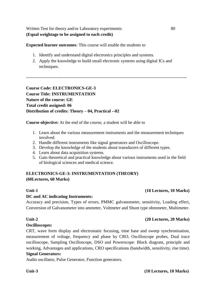Written Test for theory and/or Laboratory experiments: 80 **(Equal weightage to be assigned to each credit)**

**Expected learner outcomes**: This course will enable the students to

- 1. Identify and understand digital electronics principles and systems.
- 2. Apply the knowledge to build small electronic systems using digital ICs and techniques.

---------------------------------------------------------------------------------------------------------------

# **Course Code: ELECTRONICS-GE-3 Course Title: INSTRUMENTATION Nature of the course: GE Total credit assigned: 06 Distribution of credits: Theory – 04, Practical --02**

**Course objective:** At the end of the course, a student will be able to

- 1. Learn about the various measurement instruments and the measurement techniques involved.
- 2. Handle different instruments like signal generators and Oscilloscope.
- 3. Develop the knowledge of the students about transducers of different types.
- 4. Learn about data acquisition systems.
- 5. Gain theoretical and practical knowledge about various instruments used in the field of biological sciences and medical science.

## **ELECTRONICS-GE-3: INSTRUMENTATION (THEORY) (60Lectures, 60 Marks)**

## **DC and AC indicating Instruments:**

Accuracy and precision, Types of errors, PMMC galvanometer, sensitivity, Loading effect, Conversion of Galvanometer into ammeter, Voltmeter and Shunt type ohmmeter, Multimeter.

## **Oscilloscopes:**

CRT, wave form display and electrostatic focusing, time base and sweep synchronisation, measurement of voltage, frequency and phase by CRO, Oscilloscope probes, Dual trace oscilloscope, Sampling Oscilloscope, DSO and Powerscope: Block diagram, principle and working, Advantages and applications, CRO specifications (bandwidth, sensitivity, rise time).

# **Signal Generators:**

Audio oscillator, Pulse Generator, Function generators.

## **Unit**-**3 (10 Lectures, 10 Marks)**

## **Unit-1 (10 Lectures, 10 Marks)**

# **Unit**-**2 (20 Lectures, 20 Marks)**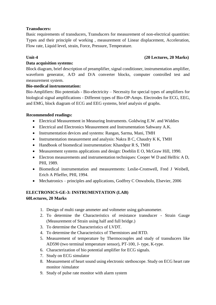# **Transducers:**

Basic requirements of transducers, Transducers for measurement of non-electrical quantities: Types and their principle of working , measurement of Linear displacement, Acceleration, Flow rate, Liquid level, strain, Force, Pressure, Temperature.

## **Unit-4 (20 Lectures, 20 Marks)**

# **Data acquisition systems:**

Block diagram, brief description of preamplifier, signal conditioner, instrumentation amplifier, waveform generator, A/D and D/A converter blocks, computer controlled test and measurement system.

## **Bio-medical instrumentation:**

Bio-Amplifiers: Bio potentials - Bio-electricity – Necessity for special types of amplifiers for biological signal amplifications - Different types of Bio-OP-Amps. Electrodes for ECG, EEG, and EMG, block diagram of ECG and EEG systems, brief analysis of graphs.

## **Recommended readings:**

- Electrical Measurement in Measuring Instruments. Goldwing E.W. and Widdies
- Electrical and Electronics Measurement and Instrumentation Sahwany A.K.
- Instrumentation devices and systems: Rangan, Sarma, Mani, TMH
- Instrumentation measurement and analysis: Nakra B C, Chaudry K K, TMH
- Handbook of biomedical instrumentation: Khandpur R S, TMH
- Measurement systems applications and design: Doeblin E O, McGraw Hill, 1990.
- Electron measurements and instrumentation techniques: Cooper W D and Helfric A D, PHI, 1989.
- Biomedical instrumentation and measurements: Leslie-Cromwell, Fred J Weibell, Erich A Pfieffer, PHI, 1994.
- Mechatronics principles and applications, Godfrey C Onwubolu, Elsevier, 2006

# **ELECTRONICS-GE-3: INSTRUMENTATION (LAB) 60Lectures, 20 Marks**

- 1. Design of multi range ammeter and voltmeter using galvanometer.
- 2. To determine the Characteristics of resistance transducer Strain Gauge (Measurement of Strain using half and full bridge.)
- 3. To determine the Characteristics of LVDT.
- 4. To determine the Characteristics of Thermistors and RTD.
- 5. Measurement of temperature by Thermocouples and study of transducers like AD590 (two terminal temperature sensor), PT-100, J- type, K-type.
- 6. Characterization of bio potential amplifier for ECG signals.
- 7. Study on ECG simulator
- 8. Measurement of heart sound using electronic stethoscope. Study on ECG heart rate monitor /simulator
- 9. Study of pulse rate monitor with alarm system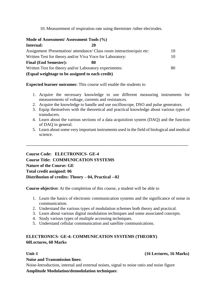10. Measurement of respiration rate using thermister /other electrodes.

| Mode of Assessment/Assessment Tools (%)                  |                                                                        |    |
|----------------------------------------------------------|------------------------------------------------------------------------|----|
| <b>Internal:</b>                                         | 20                                                                     |    |
|                                                          | Assignment /Presentation/ attendance/ Class room interaction/quiz etc: | 10 |
| Written Test for theory and/or Viva Voce for Laboratory: |                                                                        | 10 |
| <b>Final (End Semester):</b>                             |                                                                        |    |
| Written Test for theory and/or Laboratory experiments:   |                                                                        | 80 |
| (Equal weightage to be assigned to each credit)          |                                                                        |    |

**Expected learner outcomes**: This course will enable the students to

- 1. Acquire the necessary knowledge to use different measuring instruments for measurements of voltage, currents and resistances.
- 2. Acquire the knowledge to handle and use oscilloscope, DSO and pulse generators.
- 3. Equip themselves with the theoretical and practical knowledge about various types of transducers.
- 4. Learn about the various sections of a data acquisition system (DAQ) and the function of DAQ in general.
- 5. Learn about some very important instruments used in the field of biological and medical science.

----------------------------------------------------------------------------------------------------------------

**Course Code: ELECTRONICS- GE-4 Course Title: COMMUNICATION SYSTEMS Nature of the Course: GE Total credit assigned: 06 Distribution of credits: Theory – 04, Practical --02**

**Course objective:** At the completion of this course, a student will be able to

- 1. Learn the basics of electronic communication systems and the significance of noise in communication.
- 2. Understand the various types of modulation schemes both theory and practical.
- 3. Learn about various digital modulation techniques and some associated concepts.
- 4. Study various types of multiple accessing techniques.
- 5. Understand cellular communication and satellite communications.

## **ELECTRONICS- GE-4: COMMUNICATION SYSTEMS (THEORY) 60Lectures, 60 Marks**

## **Noise and Transmission lines:**

Noise-Introduction, internal and external noises, signal to noise ratio and noise figure

**Amplitude Modulation/demodulation techniques**:

## **Unit-1 (16 Lectures, 16 Marks)**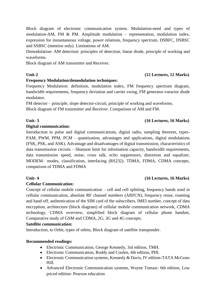Block diagram of electronic communication system. Modulation-need and types of modulation-AM, FM & PM. Amplitude modulation – representation, modulation index, expression for instantaneous voltage, power relations, frequency spectrum, DSBFC, DSBSC and SSBSC (mention only). Limitations of AM.

Demodulation- AM detection: principles of detection, linear diode, principle of working and waveforms.

Block diagram of AM transmitter and Receiver.

# **Frequency Modulation/demodulation techniques:**

Frequency Modulation: definition, modulation index, FM frequency spectrum diagram, bandwidth requirements, frequency deviation and carrier swing, FM generator-varactor diode modulator.

FM detector – principle, slope detector-circuit, principle of working and waveforms. Block diagram of FM transmitter and Receiver. Comparison of AM and FM.

# **Unit- 3 (16 Lectures, 16 Marks)**

# **Digital communication:**

Introduction to pulse and digital communications, digital radio, sampling theorem, types-PAM, PWM, PPM, PCM – quantization, advantages and applications, digital modulations (FSK, PSK, and ASK). Advantage and disadvantages of digital transmission, characteristics of data transmission circuits – Shannon limit for information capacity, bandwidth requirements, data transmission speed, noise, cross talk, echo suppressors, distortion and equalizer, MODEM– modes, classification, interfacing (RS232). TDMA, FDMA, CDMA concepts, comparison of TDMA and FDMA

# **Cellular Communication:**

Concept of cellular mobile communication – cell and cell splitting, frequency bands used in cellular communication, absolute RF channel numbers (ARFCN), frequency reuse, roaming and hand off, authentication of the SIM card of the subscribers, IMEI number, concept of data encryption, architecture (block diagram) of cellular mobile communication network, CDMA technology, CDMA overview, simplified block diagram of cellular phone handset, Comparative study of GSM and CDMA, 2G, 3G and 4G concepts.

# **Satellite communication:**

Introduction, to Orbit, types of orbits, Block diagram of satellite transponder.

# **Recommended readings:**

- Electronic Communication, George Kennedy, 3rd edition, TMH.
- Electronic Communication, Roddy and Coolen, 4th edition, PHI.
- Electronic Communication systems, Kennedy & Davis, IV edition-TATA McGraw Hill.
- Advanced Electronic Communication systems, Wayne Tomasi- 6th edition, Low priced edition- Pearson education

# **Unit- 4 (16 Lectures, 16 Marks)**

# **Unit-2 (12 Lectures, 12 Marks)**